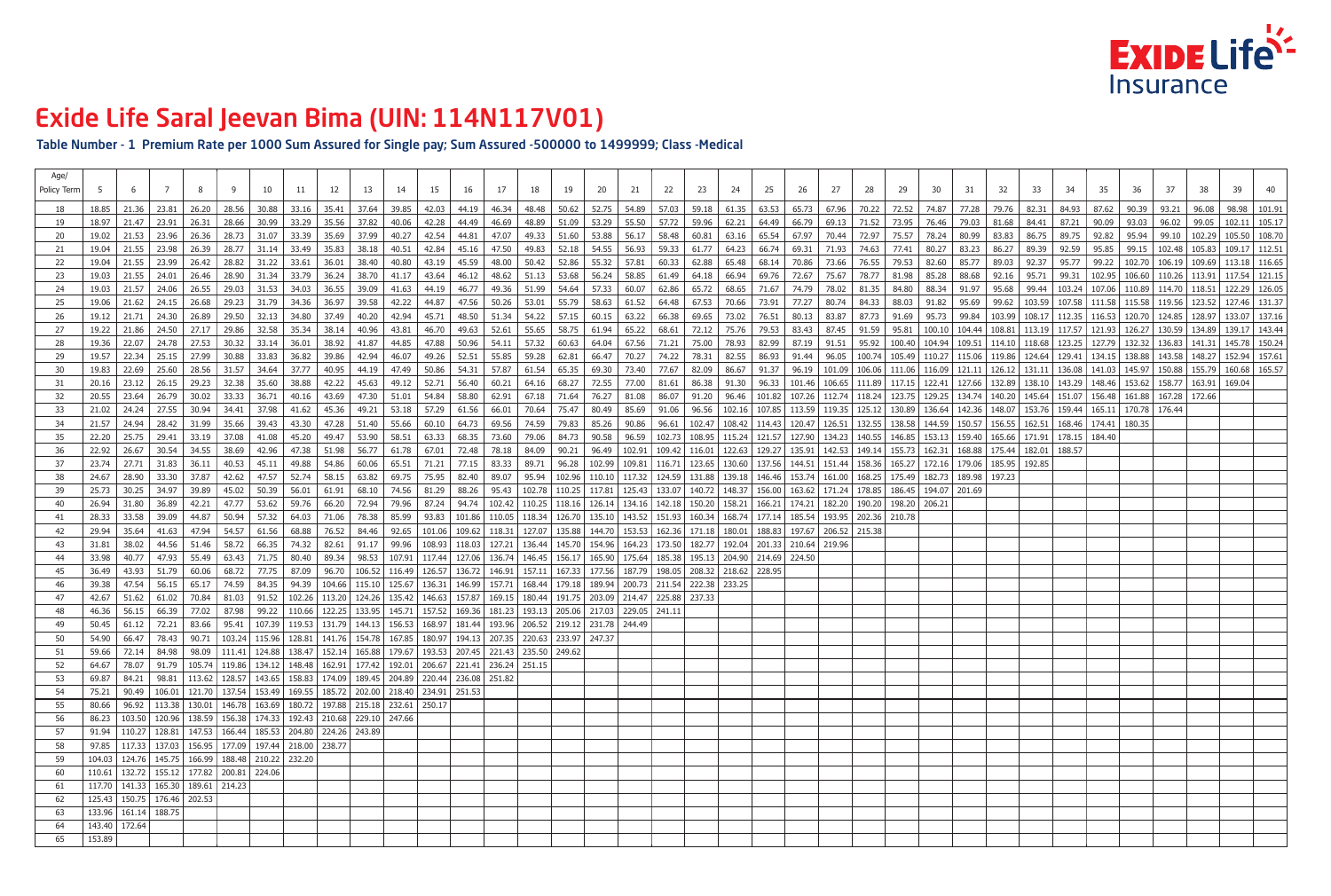Table Number - 1 Premium Rate per 1000 Sum Assured for Single pay; Sum Assured -500000 to 1499999; Class -Medical

| 61.35<br>63.53<br>65.73<br>$67.96$ 70.22<br>72.52 74.87<br>77.28 79.76<br>82.31<br>90.39<br>18.85<br>21.36<br>23.81<br>26.20<br>28.56<br>30.88<br>33.16<br>35.41<br>37.64<br>39.85<br>42.03<br>44.19  <br>46.34<br>48.48  <br>50.62<br>52.75<br>54.89  <br>57.03<br>59.18<br>84.93<br>87.62<br>18<br>46.69<br>59.96<br>62.21<br>64.49<br>69.13   71.52   73.95  <br>  76.46   79.03   81.68<br>90.09<br>19<br>18.97<br>28.66<br>30.99<br>33.29<br>35.56<br>37.82<br>40.06<br>42.28<br>44.49<br>48.89<br>51.09<br>53.29<br>55.50<br>57.72<br>66.79<br>84.41<br>87.21<br>93.03<br>21.47<br>23.91<br>26.31<br>75.57 78.24 80.99<br>35.69<br>37.99<br>42.54<br>44.81<br>47.07<br>49.33<br>51.60<br>53.88<br>56.17<br>58.48<br>60.81<br>63.16<br>65.54<br>67.97<br>70.44<br>72.97<br>83.83  <br>86.75   89.75   92.82  <br>95.94  <br>-20<br>19.02<br>21.53<br>23.96<br>26.36<br>28.73<br>31.07<br>33.39<br>40.27<br>$\vert$ 80.27   83.23   86.27<br>19.04<br>40.51<br>42.84<br>45.16<br>47.50<br>49.83<br>52.18<br>54.55<br>56.93<br>59.33<br>61.77<br>64.23<br>66.74<br>69.31<br>  71.93   74.63   77.41<br> 89.39 <br> 92.59<br>95.85<br>  99.15<br>21<br>21.55<br>23.98<br>26.39<br>28.77<br>31.14<br>-33.49<br>35.83<br>38.18<br>45.59<br>48.00<br>50.42<br>52.86<br>55.32<br>57.81<br>60.33<br>62.88<br>65.48<br>68.14<br>70.86<br>73.66<br>76.55 79.53 82.60<br>85.77<br>89.03   92.37   95.77  <br>22<br>23.99<br>28.82<br>33.61<br>36.01<br>38.40<br>40.80<br>43.19<br>19.04<br>21.55<br>26.42<br>31.22<br>75.67   78.77   81.98 | 98.98   101.91  <br>93.21<br>96.08<br>96.02<br>99.05<br>  102.11   105.17  <br>99.10   102.29   105.50   108.70  <br>  102.48   105.83   109.17   112.51  <br>99.22   102.70   106.19   109.69   113.18   116.65  <br>  102.95   106.60   110.26   113.91<br>  117.54   121.15 |
|---------------------------------------------------------------------------------------------------------------------------------------------------------------------------------------------------------------------------------------------------------------------------------------------------------------------------------------------------------------------------------------------------------------------------------------------------------------------------------------------------------------------------------------------------------------------------------------------------------------------------------------------------------------------------------------------------------------------------------------------------------------------------------------------------------------------------------------------------------------------------------------------------------------------------------------------------------------------------------------------------------------------------------------------------------------------------------------------------------------------------------------------------------------------------------------------------------------------------------------------------------------------------------------------------------------------------------------------------------------------------------------------------------------------------------------------------------------------------------------------------------------------------------------|--------------------------------------------------------------------------------------------------------------------------------------------------------------------------------------------------------------------------------------------------------------------------------|
|                                                                                                                                                                                                                                                                                                                                                                                                                                                                                                                                                                                                                                                                                                                                                                                                                                                                                                                                                                                                                                                                                                                                                                                                                                                                                                                                                                                                                                                                                                                                       |                                                                                                                                                                                                                                                                                |
|                                                                                                                                                                                                                                                                                                                                                                                                                                                                                                                                                                                                                                                                                                                                                                                                                                                                                                                                                                                                                                                                                                                                                                                                                                                                                                                                                                                                                                                                                                                                       |                                                                                                                                                                                                                                                                                |
|                                                                                                                                                                                                                                                                                                                                                                                                                                                                                                                                                                                                                                                                                                                                                                                                                                                                                                                                                                                                                                                                                                                                                                                                                                                                                                                                                                                                                                                                                                                                       |                                                                                                                                                                                                                                                                                |
|                                                                                                                                                                                                                                                                                                                                                                                                                                                                                                                                                                                                                                                                                                                                                                                                                                                                                                                                                                                                                                                                                                                                                                                                                                                                                                                                                                                                                                                                                                                                       |                                                                                                                                                                                                                                                                                |
|                                                                                                                                                                                                                                                                                                                                                                                                                                                                                                                                                                                                                                                                                                                                                                                                                                                                                                                                                                                                                                                                                                                                                                                                                                                                                                                                                                                                                                                                                                                                       |                                                                                                                                                                                                                                                                                |
| 43.64<br>48.62<br>53.68<br>56.24<br>58.85<br>61.49<br>66.94<br>69.76<br>72.67<br>85.28<br> 88.68<br>  92.16   95.71<br> 99.31<br>23<br>19.03<br>21.55<br>24.01<br>26.46<br>28.90<br>-31.34<br>33.79<br>-36.24<br>38.70<br>41.17<br>46.12<br>51.13<br>64.18                                                                                                                                                                                                                                                                                                                                                                                                                                                                                                                                                                                                                                                                                                                                                                                                                                                                                                                                                                                                                                                                                                                                                                                                                                                                            |                                                                                                                                                                                                                                                                                |
| 71.67   74.79   78.02   81.35   84.80   88.34   91.97   95.68   99.44   103.24   107.06   110.89   114.70   118.51   122.29   126.05  <br>36.55<br>46.77<br>49.36<br>51.99<br>54.64<br>57.33<br>60.07<br>62.86<br>65.72<br>68.65<br>19.03<br>21.57<br>24.06<br>26.55<br>29.03<br>31.53<br>34.03<br>39.09<br>41.63<br>44.19<br>24                                                                                                                                                                                                                                                                                                                                                                                                                                                                                                                                                                                                                                                                                                                                                                                                                                                                                                                                                                                                                                                                                                                                                                                                      |                                                                                                                                                                                                                                                                                |
| 25<br>39.58<br>42.22<br>44.87<br>47.56<br>50.26<br>53.01<br>55.79<br>58.63<br>61.52<br>64.48<br>70.66<br>73.91<br>  77.27   80.74   84.33   88.03   91.82   95.69   99.62   103.59   107.58   111.58   115.58   119.56   123.52   127.46   131.37  <br>19.06<br>21.62<br>24.15<br>26.68<br>29.23<br>31.79<br>34.36<br>36.97<br>67.53                                                                                                                                                                                                                                                                                                                                                                                                                                                                                                                                                                                                                                                                                                                                                                                                                                                                                                                                                                                                                                                                                                                                                                                                  |                                                                                                                                                                                                                                                                                |
| 48.50<br>69.65<br>80.13   83.87   87.73   91.69   95.73   99.84   103.99   108.17   112.35   116.53   120.70   124.85   128.97   133.07   137.16<br>24.30<br>26.89<br>29.50<br>32.13<br>34.80<br>37.49<br>40.20<br>42.94<br>45.71<br>51.34<br>54.22<br>57.15<br>60.15<br>63.22<br>66.38<br>73.02<br>76.51<br>26<br>19.12<br>21.71                                                                                                                                                                                                                                                                                                                                                                                                                                                                                                                                                                                                                                                                                                                                                                                                                                                                                                                                                                                                                                                                                                                                                                                                     |                                                                                                                                                                                                                                                                                |
| 27<br>55.65<br>58.75<br>68.61<br>75.76<br>$91.59$ 95.81<br>.   100.10   104.44   108.81   113.19   117.57   121.93   126.27   130.59   134.89   139.17   143.44<br>19.22<br>27.17<br>29.86<br>32.58<br>-35.34<br>38.14<br>40.96<br>43.81<br>46.70<br>49.63<br>52.61<br>61.94<br>65.22<br>72.12<br>79.53<br>83.43  <br>87.45  <br>21.86<br>24.50                                                                                                                                                                                                                                                                                                                                                                                                                                                                                                                                                                                                                                                                                                                                                                                                                                                                                                                                                                                                                                                                                                                                                                                       |                                                                                                                                                                                                                                                                                |
| 87.19   91.51   95.92   100.40   104.94   109.51   114.10   118.68   123.25   127.79   132.32   136.83   141.31   145.78   150.24<br>28<br>27.53<br>38.92<br>41.87<br>44.85<br>47.88<br>50.96<br>54.11<br>57.32<br>60.63<br>64.04<br>67.56<br>75.00<br>78.93<br>82.99  <br>19.36<br>22.07<br>24.78<br>30.32<br>33.14<br>36.01<br>71.21                                                                                                                                                                                                                                                                                                                                                                                                                                                                                                                                                                                                                                                                                                                                                                                                                                                                                                                                                                                                                                                                                                                                                                                                |                                                                                                                                                                                                                                                                                |
| 70.27 74.22 78.31 82.55<br>86.93   91.44   96.05   100.74   105.49   110.27   115.06   119.86   124.64   129.41   134.15   138.88   143.58   148.27   152.94   157.61<br>29<br>39.86<br>42.94<br>46.07<br>49.26<br>52.51  <br>55.85<br>59.28<br>62.81<br>66.47<br>19.57<br>22.34<br>27.99<br>30.88<br>33.83<br>36.82<br>25.15                                                                                                                                                                                                                                                                                                                                                                                                                                                                                                                                                                                                                                                                                                                                                                                                                                                                                                                                                                                                                                                                                                                                                                                                         |                                                                                                                                                                                                                                                                                |
| 86.67   91.37   96.19   101.09   106.06   111.06   116.09   121.11   126.12   131.11   136.08   141.03   145.97   150.88   155.79   160.68   165.57  <br>31.57<br>34.64<br>40.95<br>50.86<br>54.31<br>57.87<br>61.54<br>65.35<br>82.09<br>30<br>19.83<br>22.69<br>25.60<br>28.56<br>37.77<br>44.19<br>47.49<br>69.30<br>73.40<br>77.67                                                                                                                                                                                                                                                                                                                                                                                                                                                                                                                                                                                                                                                                                                                                                                                                                                                                                                                                                                                                                                                                                                                                                                                                |                                                                                                                                                                                                                                                                                |
| 38.88<br>56.40<br>68.27<br>72.55<br>81.61   86.38   91.30   96.33   101.46   106.65   111.89   117.15   122.41   127.66   132.89   138.10   143.29   148.46   153.62   158.77   163.91   169.04  <br>20.16<br>23.12<br>26.15<br>29.23<br>32.38<br>35.60<br>42.22<br>45.63<br>49.12<br>52.71<br>60.21<br>64.16<br>77.00<br>86.07   91.20   96.46   101.82   107.26   112.74   118.24   123.75   129.25   134.74   140.20   145.64   151.07   156.48   161.88   167.28   172.66<br>20.55                                                                                                                                                                                                                                                                                                                                                                                                                                                                                                                                                                                                                                                                                                                                                                                                                                                                                                                                                                                                                                                |                                                                                                                                                                                                                                                                                |
| 36.71<br>43.69<br>47.30<br>54.84<br>58.80<br>62.91<br>67.18<br>71.64<br>76.27   81.08  <br>32<br>23.64<br>26.79<br>30.02<br>33.33<br>40.16<br>51.01<br>96.56   102.16   107.85   113.59   119.35   125.12   130.89   136.64   142.36   148.07   153.76   159.44   165.11   170.78   176.44<br>33<br>21.02<br>27.55<br>30.94<br>37.98<br>41.62<br>45.36<br>49.21<br>53.18<br>57.29<br>61.56<br>66.01<br>70.64<br>75.47<br>80.49<br>85.69<br>91.06<br>24.24<br>34.41                                                                                                                                                                                                                                                                                                                                                                                                                                                                                                                                                                                                                                                                                                                                                                                                                                                                                                                                                                                                                                                                    |                                                                                                                                                                                                                                                                                |
| 69.56<br>102.47   108.42   114.43   120.47   126.51   132.55   138.58   144.59   150.57   156.55   162.51   168.46   174.41   180.35<br>-34<br>21.57<br>28.42<br>35.66<br>43.30<br>47.28<br>51.40<br>55.66<br>60.10<br>64.73<br>74.59<br>79.83<br>85.26<br>90.86<br>96.61<br>24.94<br>31.99<br>39.43                                                                                                                                                                                                                                                                                                                                                                                                                                                                                                                                                                                                                                                                                                                                                                                                                                                                                                                                                                                                                                                                                                                                                                                                                                  |                                                                                                                                                                                                                                                                                |
| 102.73   108.95   115.24   121.57   127.90   134.23   140.55   146.85   153.13   159.40   165.66   171.91   178.15   184.40<br>35<br>58.51<br>68.35<br>90.58<br>96.59<br>45.20<br>49.47<br>53.90<br>63.33<br>73.60<br>79.06<br>84.73<br>22.20<br>25.75<br>29.41<br>33.19<br>37.08<br>41.08                                                                                                                                                                                                                                                                                                                                                                                                                                                                                                                                                                                                                                                                                                                                                                                                                                                                                                                                                                                                                                                                                                                                                                                                                                            |                                                                                                                                                                                                                                                                                |
| 36<br>90.21<br>96.49<br>  102.91   109.42   116.01   122.63   129.27   135.91   142.53   149.14   155.73   162.31   168.88   175.44   182.01   188.57<br>22.92<br>26.67<br>30.54<br>34.55<br>38.69<br>42.96<br>47.38<br>51.98<br>56.77<br>61.78<br>67.01<br>72.48<br>78.18<br>84.09                                                                                                                                                                                                                                                                                                                                                                                                                                                                                                                                                                                                                                                                                                                                                                                                                                                                                                                                                                                                                                                                                                                                                                                                                                                   |                                                                                                                                                                                                                                                                                |
| 37<br>  102.99   109.81   116.71   123.65   130.60   137.56   144.51   151.44   158.36   165.27   172.16   179.06   185.95   192.85<br>83.33<br>89.71<br>96.28<br>23.74<br>27.71<br>31.83<br>36.11<br>40.53<br>45.11<br>49.88<br>54.86<br>60.06<br>65.51<br>71.21<br>77.15                                                                                                                                                                                                                                                                                                                                                                                                                                                                                                                                                                                                                                                                                                                                                                                                                                                                                                                                                                                                                                                                                                                                                                                                                                                            |                                                                                                                                                                                                                                                                                |
| 110.10   117.32   124.59   131.88   139.18   146.46   153.74   161.00   168.25   175.49   182.73   189.98   197.23<br>38<br>24.67<br>37.87<br>47.57<br>58.15<br>63.82<br>69.75<br>75.95<br>82.40<br>89.07<br>95.94<br>102.96<br>28.90<br>33.30<br>42.62<br>52.74                                                                                                                                                                                                                                                                                                                                                                                                                                                                                                                                                                                                                                                                                                                                                                                                                                                                                                                                                                                                                                                                                                                                                                                                                                                                      |                                                                                                                                                                                                                                                                                |
| 125.43   133.07<br>  140.72   148.37<br>  156.00   163.62   171.24   178.85   186.45   194.07   201.69<br>39<br>74.56<br>81.29<br>88.26<br>95.43<br>102.78<br>110.25<br>117.81<br>25.73<br>30.25<br>34.97<br>39.89<br>45.02<br>50.39<br>56.01<br>61.91<br>68.10                                                                                                                                                                                                                                                                                                                                                                                                                                                                                                                                                                                                                                                                                                                                                                                                                                                                                                                                                                                                                                                                                                                                                                                                                                                                       |                                                                                                                                                                                                                                                                                |
| 94.74<br>110.25   118.16   126.14   134.16   142.18   150.20   158.21<br>  174.21   182.20   190.20   198.20   206.21<br>26.94<br>66.20<br>79.96<br>87.24<br>102.42<br>166.21<br>40<br>31.80<br>36.89<br>47.77<br>53.62<br>59.76<br>72.94<br>42.21                                                                                                                                                                                                                                                                                                                                                                                                                                                                                                                                                                                                                                                                                                                                                                                                                                                                                                                                                                                                                                                                                                                                                                                                                                                                                    |                                                                                                                                                                                                                                                                                |
| 110.05   118.34   126.70   135.10   143.52   151.93   160.34   168.74   177.14   185.54   193.95   202.36   210.78<br>85.99<br>93.83<br>101.86<br>28.33<br>33.58<br>39.09<br>44.87<br>50.94<br>57.32<br>64.03<br>71.06<br>78.38                                                                                                                                                                                                                                                                                                                                                                                                                                                                                                                                                                                                                                                                                                                                                                                                                                                                                                                                                                                                                                                                                                                                                                                                                                                                                                       |                                                                                                                                                                                                                                                                                |
| 127.07   135.88   144.70   153.53   162.36   171.18   180.01<br>  188.83   197.67   206.52   215.38<br>29.94<br>54.57<br>68.88<br>76.52<br>84.46<br>92.65<br>101.06<br>109.62<br>118.31<br>42<br>35.64<br>41.63<br>47.94<br>61.56                                                                                                                                                                                                                                                                                                                                                                                                                                                                                                                                                                                                                                                                                                                                                                                                                                                                                                                                                                                                                                                                                                                                                                                                                                                                                                     |                                                                                                                                                                                                                                                                                |
| 108.93   118.03   127.21   136.44   145.70   154.96   164.23   173.50   182.77   192.04   201.33   210.64   219.96<br>44.56<br>66.35<br>82.61<br>91.17<br>99.96<br>43<br>31.81<br>38.02<br>51.46<br>58.72<br>74.32                                                                                                                                                                                                                                                                                                                                                                                                                                                                                                                                                                                                                                                                                                                                                                                                                                                                                                                                                                                                                                                                                                                                                                                                                                                                                                                    |                                                                                                                                                                                                                                                                                |
| 98.53   107.91   117.44   127.06   136.74   146.45   156.17   165.90   175.64   185.38   195.13   204.90   214.69   224.50<br>33.98<br>89.34<br>40.77<br>47.93<br>55.49<br>63.43  <br>71.75<br>80.40                                                                                                                                                                                                                                                                                                                                                                                                                                                                                                                                                                                                                                                                                                                                                                                                                                                                                                                                                                                                                                                                                                                                                                                                                                                                                                                                  |                                                                                                                                                                                                                                                                                |
| 36.49   43.93   51.79   60.06   68.72   77.75   87.09   96.70   106.52   116.49   126.57   136.72   146.91   157.11   167.33   177.56   187.79   198.05   208.32   218.62   228.95                                                                                                                                                                                                                                                                                                                                                                                                                                                                                                                                                                                                                                                                                                                                                                                                                                                                                                                                                                                                                                                                                                                                                                                                                                                                                                                                                    |                                                                                                                                                                                                                                                                                |
| 39.38 47.54 56.15 56.15 56.17 74.59 84.35 94.39 104.66 115.10 125.67 136.31 146.99 157.71 168.44 179.18 189.94 200.73 211.54 222.38 233.25<br>46                                                                                                                                                                                                                                                                                                                                                                                                                                                                                                                                                                                                                                                                                                                                                                                                                                                                                                                                                                                                                                                                                                                                                                                                                                                                                                                                                                                      |                                                                                                                                                                                                                                                                                |
| 42.67   51.62   61.02   70.84   81.03   91.52   102.26   113.20   124.26   135.42   146.63   157.87   169.15   180.44   191.75   203.09   214.47   225.88   237.33                                                                                                                                                                                                                                                                                                                                                                                                                                                                                                                                                                                                                                                                                                                                                                                                                                                                                                                                                                                                                                                                                                                                                                                                                                                                                                                                                                    |                                                                                                                                                                                                                                                                                |
| 56.15   66.39   77.02   87.98   99.22   110.66   122.25   133.95   145.71   157.52   169.36   181.23   193.13   205.06   217.03   229.05   241.11<br>46.36<br>48                                                                                                                                                                                                                                                                                                                                                                                                                                                                                                                                                                                                                                                                                                                                                                                                                                                                                                                                                                                                                                                                                                                                                                                                                                                                                                                                                                      |                                                                                                                                                                                                                                                                                |
| 50.45 61.12 72.21 83.66 95.41 107.39 119.53 131.79 144.13 156.53 168.97 181.44 193.96 206.52 219.12 231.78 244.49<br>49                                                                                                                                                                                                                                                                                                                                                                                                                                                                                                                                                                                                                                                                                                                                                                                                                                                                                                                                                                                                                                                                                                                                                                                                                                                                                                                                                                                                               |                                                                                                                                                                                                                                                                                |
| 66.47   78.43   90.71   103.24   115.96   128.81   141.76   154.78   167.85   180.97   194.13   207.35   220.63   233.97   247.37<br>54.90<br>50                                                                                                                                                                                                                                                                                                                                                                                                                                                                                                                                                                                                                                                                                                                                                                                                                                                                                                                                                                                                                                                                                                                                                                                                                                                                                                                                                                                      |                                                                                                                                                                                                                                                                                |
| 59.66 72.14 84.98 98.09 111.41 124.88 138.47 152.14 165.88 179.67 193.53 207.45 221.43 235.50 249.62<br>51                                                                                                                                                                                                                                                                                                                                                                                                                                                                                                                                                                                                                                                                                                                                                                                                                                                                                                                                                                                                                                                                                                                                                                                                                                                                                                                                                                                                                            |                                                                                                                                                                                                                                                                                |
| 78.07   91.79   105.74   119.86   134.12   148.48   162.91   177.42   192.01   206.67   221.41   236.24   251.15  <br>64.67<br>52                                                                                                                                                                                                                                                                                                                                                                                                                                                                                                                                                                                                                                                                                                                                                                                                                                                                                                                                                                                                                                                                                                                                                                                                                                                                                                                                                                                                     |                                                                                                                                                                                                                                                                                |
| 84.21   98.81   113.62   128.57   143.65   158.83   174.09   189.45   204.89   220.44   236.08   251.82  <br>69.87<br>53                                                                                                                                                                                                                                                                                                                                                                                                                                                                                                                                                                                                                                                                                                                                                                                                                                                                                                                                                                                                                                                                                                                                                                                                                                                                                                                                                                                                              |                                                                                                                                                                                                                                                                                |
| 90.49   106.01   121.70   137.54   153.49   169.55   185.72   202.00   218.40   234.91   251.53  <br>54<br>75.21                                                                                                                                                                                                                                                                                                                                                                                                                                                                                                                                                                                                                                                                                                                                                                                                                                                                                                                                                                                                                                                                                                                                                                                                                                                                                                                                                                                                                      |                                                                                                                                                                                                                                                                                |
| 80.66   96.92   113.38   130.01   146.78   163.69   180.72   197.88   215.18   232.61   250.17<br>55                                                                                                                                                                                                                                                                                                                                                                                                                                                                                                                                                                                                                                                                                                                                                                                                                                                                                                                                                                                                                                                                                                                                                                                                                                                                                                                                                                                                                                  |                                                                                                                                                                                                                                                                                |
| 86.23   103.50   120.96   138.59   156.38   174.33   192.43   210.68   229.10   247.66  <br>56<br>91.94   110.27   128.81   147.53   166.44   185.53   204.80   224.26   243.89                                                                                                                                                                                                                                                                                                                                                                                                                                                                                                                                                                                                                                                                                                                                                                                                                                                                                                                                                                                                                                                                                                                                                                                                                                                                                                                                                       |                                                                                                                                                                                                                                                                                |
| -57<br>97.85   117.33   137.03   156.95   177.09   197.44   218.00   238.77<br>58                                                                                                                                                                                                                                                                                                                                                                                                                                                                                                                                                                                                                                                                                                                                                                                                                                                                                                                                                                                                                                                                                                                                                                                                                                                                                                                                                                                                                                                     |                                                                                                                                                                                                                                                                                |
| 104.03   124.76   145.75   166.99   188.48   210.22   232.20  <br>59                                                                                                                                                                                                                                                                                                                                                                                                                                                                                                                                                                                                                                                                                                                                                                                                                                                                                                                                                                                                                                                                                                                                                                                                                                                                                                                                                                                                                                                                  |                                                                                                                                                                                                                                                                                |
| 110.61   132.72   155.12   177.82   200.81   224.06  <br>60                                                                                                                                                                                                                                                                                                                                                                                                                                                                                                                                                                                                                                                                                                                                                                                                                                                                                                                                                                                                                                                                                                                                                                                                                                                                                                                                                                                                                                                                           |                                                                                                                                                                                                                                                                                |
| 117.70   141.33   165.30   189.61   214.23                                                                                                                                                                                                                                                                                                                                                                                                                                                                                                                                                                                                                                                                                                                                                                                                                                                                                                                                                                                                                                                                                                                                                                                                                                                                                                                                                                                                                                                                                            |                                                                                                                                                                                                                                                                                |
| 125.43 150.75 176.46 202.53                                                                                                                                                                                                                                                                                                                                                                                                                                                                                                                                                                                                                                                                                                                                                                                                                                                                                                                                                                                                                                                                                                                                                                                                                                                                                                                                                                                                                                                                                                           |                                                                                                                                                                                                                                                                                |
| 133.96   161.14   188.75  <br>63                                                                                                                                                                                                                                                                                                                                                                                                                                                                                                                                                                                                                                                                                                                                                                                                                                                                                                                                                                                                                                                                                                                                                                                                                                                                                                                                                                                                                                                                                                      |                                                                                                                                                                                                                                                                                |
| 143.40 172.64<br>64                                                                                                                                                                                                                                                                                                                                                                                                                                                                                                                                                                                                                                                                                                                                                                                                                                                                                                                                                                                                                                                                                                                                                                                                                                                                                                                                                                                                                                                                                                                   |                                                                                                                                                                                                                                                                                |
| 153.89<br>65                                                                                                                                                                                                                                                                                                                                                                                                                                                                                                                                                                                                                                                                                                                                                                                                                                                                                                                                                                                                                                                                                                                                                                                                                                                                                                                                                                                                                                                                                                                          |                                                                                                                                                                                                                                                                                |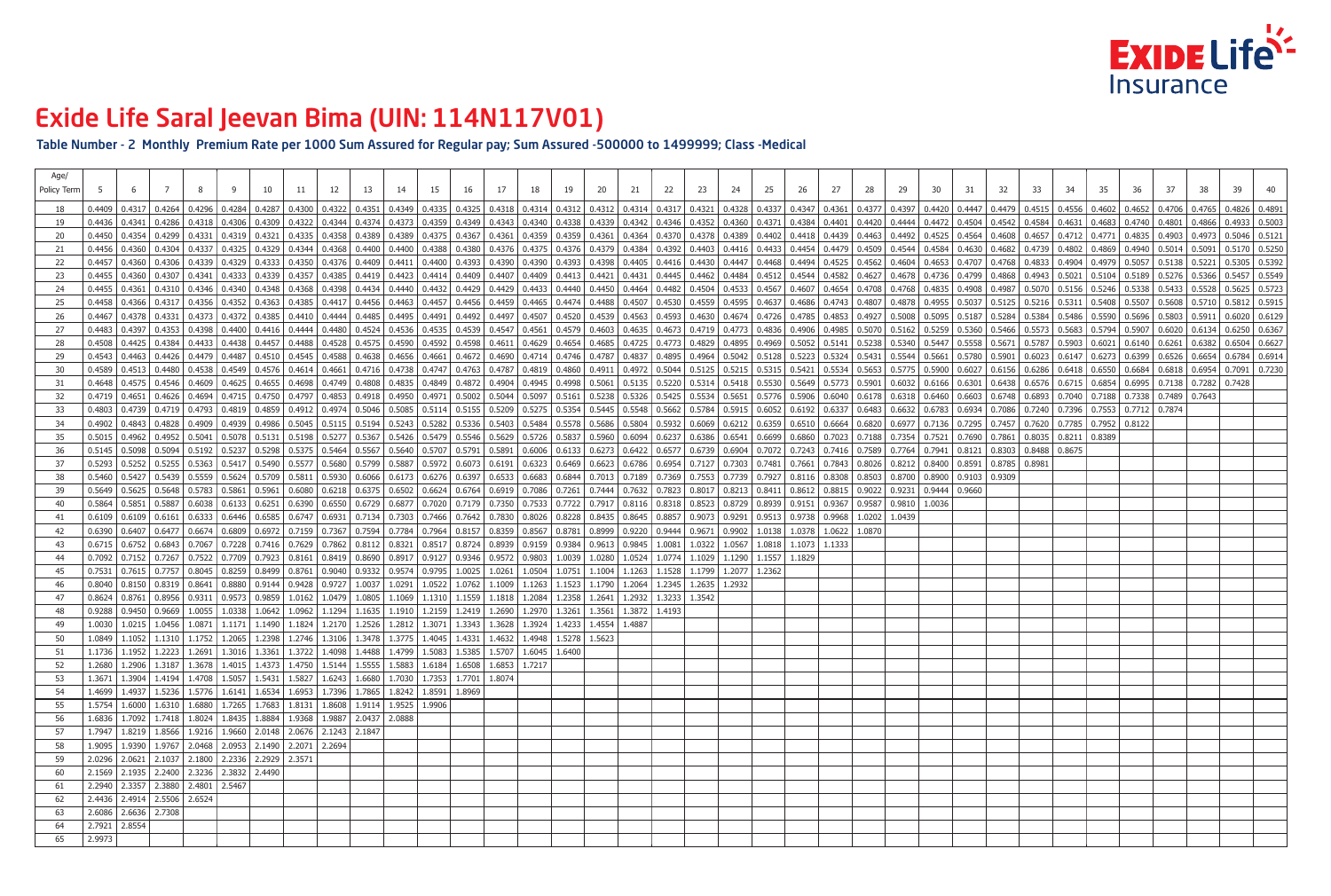### Table Number - 2 Monthly Premium Rate per 1000 Sum Assured for Regular pay; Sum Assured -500000 to 1499999; Class -Medical

| Age/<br>Policy Term |        |                                                                                                                                                                                   |  |  |  |  |  |  |  |  |                                                                                                                                                                                                                                 |        |                   |  |  |  |  |  |  |  |
|---------------------|--------|-----------------------------------------------------------------------------------------------------------------------------------------------------------------------------------|--|--|--|--|--|--|--|--|---------------------------------------------------------------------------------------------------------------------------------------------------------------------------------------------------------------------------------|--------|-------------------|--|--|--|--|--|--|--|
|                     |        |                                                                                                                                                                                   |  |  |  |  |  |  |  |  | 0.4209 0.4317 0.4264 0.4296 0.4284 0.4287 0.4300 0.4322 0.4331 0.4349 0.4335 0.4335 0.4318 0.4312 0.4314 0.4312 0.4312 0.4314 0.4312 0.4314 0.4317 0.4321 0.4323 0.4347 0.4327 0.4347 0.4347 0.4347 0.4347 0.4347 0.4447 0.4447 |        |                   |  |  |  |  |  |  |  |
| 19                  |        |                                                                                                                                                                                   |  |  |  |  |  |  |  |  | 0.4336   0.4341   0.4286   0.4318   0.4306   0.4306   0.4309   0.4322   0.4324   0.4374   0.4373   0.4373   0.4379   0.4349   0.4349   0.4349   0.4349   0.4349   0.4349   0.4349   0.4340   0.4342   0.4342   0.436   0.4321   |        |                   |  |  |  |  |  |  |  |
| -20                 |        |                                                                                                                                                                                   |  |  |  |  |  |  |  |  | 0.4354   0.4299   0.4331   0.4319   0.4321   0.4321   0.4325   0.4335   0.4358   0.4389   0.4389   0.4389   0.4375   0.4367   0.4359   0.4359   0.4359   0.4367   0.4367   0.4359   0.4359   0.4364   0.4370   0.4378   0.4402  |        |                   |  |  |  |  |  |  |  |
| -21                 |        |                                                                                                                                                                                   |  |  |  |  |  |  |  |  | 0.436  0.4360  0.4304  0.4337  0.4325  0.4329  0.4324  0.4344  0.4368  0.4400  0.4400  0.4308  0.4388  0.4388  0.4375  0.4375  0.4375  0.4375  0.4375  0.4379  0.4392  0.4416  0.4392  0.4416  0.4416  0.4414  0.4479  0.4544   |        |                   |  |  |  |  |  |  |  |
| 22                  |        |                                                                                                                                                                                   |  |  |  |  |  |  |  |  | 0.4330 0.4330 0.4339 0.4339 0.4333 0.4350 0.4376 0.4409 0.4401 0.4400 0.4393 0.4399 0.4399 0.4399 0.4399 0.4399 0.4399 0.4399 0.4399 0.4411 0.4405 0.4411 0.4405 0.4414 0.4405 0.4414 0.4405 0.4416 0.4447 0.4447 0.4494 0.4525 |        |                   |  |  |  |  |  |  |  |
| -23                 |        |                                                                                                                                                                                   |  |  |  |  |  |  |  |  | 0.4307 0.4307 0.4341 0.4333 0.4333 0.4335 0.4357 0.4385 0.4419 0.4413 0.4414 0.4409 0.4414 0.4409 0.4407 0.4409 0.4413 0.4413 0.4421 0.4421 0.4484 0.4542 0.4544 0.4582 0.4627 0.4627 0.462 0.462 0.4544 0.4542 0.4544 0.4582 0 |        |                   |  |  |  |  |  |  |  |
| 24                  |        |                                                                                                                                                                                   |  |  |  |  |  |  |  |  | 0.4355   0.4355   0.4355   0.4346   0.4346   0.4348   0.4348   0.4368   0.4368   0.4434   0.4434   0.4432   0.4432   0.4429   0.4429   0.4433   0.4440   0.4450   0.4450   0.4450   0.4450   0.4450   0.4533   0.4567   0.4607  |        |                   |  |  |  |  |  |  |  |
| 25                  | 0.4458 |                                                                                                                                                                                   |  |  |  |  |  |  |  |  | 0.4356   0.4317   0.4356   0.4352   0.4363   0.4363   0.4385   0.4417   0.4456   0.4456   0.4457   0.4457   0.4456   0.4457   0.4456   0.4457   0.4456   0.4456   0.4456   0.4456   0.4456   0.4474   0.4488   0.4474   0.4488  |        |                   |  |  |  |  |  |  |  |
| 26                  |        |                                                                                                                                                                                   |  |  |  |  |  |  |  |  | 0.4378   0.4373   0.4372   0.4372   0.4385   0.4410   0.4444   0.4485   0.4495   0.4495   0.4497   0.4492   0.4497   0.459   0.4593   0.4593   0.4583   0.4583   0.4785   0.4674   0.4630   0.4593   0.4674   0.4785   0.4785   |        |                   |  |  |  |  |  |  |  |
| 27                  |        |                                                                                                                                                                                   |  |  |  |  |  |  |  |  | 0.4397   0.4393   0.4398   0.4400   0.4416   0.4414   0.4444   0.4480   0.4524   0.4536   0.4535   0.4535   0.4539   0.4536   0.4539   0.4547   0.4547   0.4673   0.4673   0.4673   0.4673   0.4773   0.4773   0.4906   0.4905  |        |                   |  |  |  |  |  |  |  |
| -28                 |        |                                                                                                                                                                                   |  |  |  |  |  |  |  |  | 0.4425   0.4384   0.4433   0.4438   0.4438   0.4438   0.4457   0.4488   0.458   0.4575   0.4575   0.4575   0.4575   0.4575   0.4590   0.4599   0.4599   0.4611   0.4629   0.4654   0.4685   0.4725   0.4723   0.4895   0.5052   |        |                   |  |  |  |  |  |  |  |
| -29                 |        |                                                                                                                                                                                   |  |  |  |  |  |  |  |  | 0.4463 0.4426 0.4426 0.4479 0.4487 0.4510 0.4545 0.4588 0.4588 0.4638 0.4638 0.4661 0.4661 0.4672 0.4690 0.4714 0.4746 0.4787 0.4837 0.4895 0.4895 0.5324 0.5324 0.5341 0.5780 0.5661 0.5780 0.5901 0.6023 0.6147 0.6273 0.6399 |        |                   |  |  |  |  |  |  |  |
| 30                  |        |                                                                                                                                                                                   |  |  |  |  |  |  |  |  | 0.4539 0.4533 0.4480 0.4538 0.4549 0.4574 0.4654 0.4651 0.4614 0.4661 0.4716 0.4716 0.4738 0.4747 0.4763 0.4747 0.4763 0.4787 0.4860 0.4911 0.4860 0.4911 0.5315 0.5215 0.5315 0.5315 0.5534 0.5534 0.5590 0.6027 0.6027 0.6156 |        |                   |  |  |  |  |  |  |  |
| -31                 |        |                                                                                                                                                                                   |  |  |  |  |  |  |  |  | 0.4575   0.4546   0.4609   0.4605   0.4655   0.4698   0.4749   0.4808   0.4808   0.4835   0.4849   0.4849   0.4849   0.4946   0.4945   0.4945   0.4948   0.5530   0.5314   0.5430   0.5530   0.5649   0.5773   0.5901   0.603   |        |                   |  |  |  |  |  |  |  |
| -32                 |        |                                                                                                                                                                                   |  |  |  |  |  |  |  |  | 0.4719   0.4651   0.4626   0.4694   0.4715   0.4715   0.4750   0.4797   0.4853   0.4918   0.4950   0.4970   0.502   0.5034   0.5097   0.5161   0.5238   0.5326   0.5326   0.5534   0.5765   0.5996   0.6040   0.6178   0.6438   |        |                   |  |  |  |  |  |  |  |
| -33                 |        |                                                                                                                                                                                   |  |  |  |  |  |  |  |  | 0.4739   0.4739   0.4739   0.4793   0.4859   0.4859   0.4952   0.4974   0.5085   0.5085   0.5085   0.5114   0.5155   0.5209   0.5275   0.5354   0.5548   0.5662   0.5784   0.5085   0.6132   0.6337   0.6483   0.6632   0.6783  |        |                   |  |  |  |  |  |  |  |
| -34                 |        |                                                                                                                                                                                   |  |  |  |  |  |  |  |  | 0.4938   0.4828   0.4929   0.4928   0.4939   0.4939   0.4936   0.5045   0.5045   0.5115   0.5115   0.5243   0.5243   0.5243   0.5243   0.5336   0.5403   0.5404   0.5578   0.5606   0.5804   0.5932   0.6069   0.6212   0.6359  |        |                   |  |  |  |  |  |  |  |
| -35                 |        |                                                                                                                                                                                   |  |  |  |  |  |  |  |  | 0.5031 0.7521 0.4952 0.4952 0.5041 0.5078 0.5131 0.5131 0.5198 0.5277 0.5367 0.5426 0.5479 0.5426 0.5629 0.5726 0.5629 0.5726 0.5837 0.5837 0.5837 0.6094 0.6237 0.6386 0.6541 0.6699 0.6886 0.7023 0.7188 0.7354 0.7521 0.7690 |        |                   |  |  |  |  |  |  |  |
| -36                 |        |                                                                                                                                                                                   |  |  |  |  |  |  |  |  | 0.5192 0.5237 0.5245 0.5294 0.5094 0.5192 0.5237 0.5298 0.5375 0.5375 0.5464 0.5567 0.5640 0.5707 0.5707 0.5791 0.6006 0.6133 0.6422 0.6422 0.6422 0.6577 0.6739 0.6904 0.7072 0.7243 0.7416 0.7589 0.7764 0.7941 0.8121 0.8121 |        |                   |  |  |  |  |  |  |  |
| 37                  |        |                                                                                                                                                                                   |  |  |  |  |  |  |  |  | 0.5293   0.5252   0.5255   0.5363   0.5417   0.5490   0.5577   0.5680   0.5799   0.5887   0.5887   0.6073   0.6019   0.6323   0.6469   0.6623   0.6786   0.6786   0.7127   0.7303   0.7481   0.7661   0.7843   0.8026   0.8212  |        |                   |  |  |  |  |  |  |  |
| -38                 |        |                                                                                                                                                                                   |  |  |  |  |  |  |  |  | 0.5427 0.5439 0.5559 0.5624 0.5709 0.5811 0.5930 0.6066 0.6173 0.6276 0.6397 0.6533 0.6884 0.7013 0.7189 0.7369 0.7369 0.7739 0.7927 0.8116 0.8308 0.8503 0.8700 0.8900 0.9103 0.9309 0.9309 0.9309 0.9309 0.9309 0.9309 0.7553 |        |                   |  |  |  |  |  |  |  |
| 39                  |        |                                                                                                                                                                                   |  |  |  |  |  |  |  |  | 0.5629 0.5625   0.5625   0.5648   0.5783   0.5861   0.5961   0.6080   0.6218   0.6375   0.6502   0.6624   0.6764   0.6919   0.7086   0.7261   0.7444   0.7632   0.7823   0.8017   0.8213   0.8411   0.8612   0.8815   0.9022    |        |                   |  |  |  |  |  |  |  |
| 40                  |        |                                                                                                                                                                                   |  |  |  |  |  |  |  |  | 0.5864   0.5851   0.5887   0.6038   0.6133   0.6251   0.6390   0.6550   0.6729   0.6877   0.7020   0.7179   0.7350   0.7732   0.7722   0.8116   0.818   0.8318   0.8523   0.8729   0.8939   0.9151   0.9367   0.9587   0.9810   |        |                   |  |  |  |  |  |  |  |
| -41                 |        |                                                                                                                                                                                   |  |  |  |  |  |  |  |  | 0.6109 0.6109 0.6101 0.6333 0.6446 0.6585 0.6747 0.6931 0.7134 0.7303 0.7466 0.7642 0.7830 0.8026 0.8228 0.8435 0.8645 0.8857 0.9073 0.9291 0.9513 0.9738 0.9968 1.0202 1.0439                                                  |        |                   |  |  |  |  |  |  |  |
| -42                 |        |                                                                                                                                                                                   |  |  |  |  |  |  |  |  | 0.6407   0.6407   0.6477   0.6674   0.6809   0.6972   0.7159   0.7367   0.7594   0.7784   0.7964   0.8157   0.8359   0.8767   0.8781   0.8999   0.920   0.9444   0.9671   0.9902   1.0138   1.0378   1.0622   1.0870            |        |                   |  |  |  |  |  |  |  |
| -43                 |        | 0.6715   0.6752   0.6843   0.7067   0.7228   0.7416   0.7629   0.7862   0.8112   0.8321   0.8517   0.8724   0.8939   0.9159   0.9384   0.9613   0.9845   1.0081   1.0322   1.0567 |  |  |  |  |  |  |  |  |                                                                                                                                                                                                                                 | 1.0818 | $1.1073$   1.1333 |  |  |  |  |  |  |  |
|                     |        |                                                                                                                                                                                   |  |  |  |  |  |  |  |  | 0.7092   0.7152   0.7267   0.7522   0.7709   0.7923   0.8161   0.8419   0.8690   0.8917   0.9127   0.9346   0.9572   0.9803   1.0039   1.0280   1.0524   1.0774   1.1029   1.1290   1.1257   1.1829                             |        |                   |  |  |  |  |  |  |  |
|                     |        |                                                                                                                                                                                   |  |  |  |  |  |  |  |  | 0.7531   0.7615   0.7757   0.8045   0.8259   0.8499   0.8761   0.9040   0.9332   0.9574   0.9795   1.0025   1.0261   1.0504   1.0751   1.1004   1.1004   1.1263   1.1528   1.1799   1.2077   1.2362                             |        |                   |  |  |  |  |  |  |  |
|                     |        | 0.8040 0.8150 0.8319 0.8641 0.8880 0.9144 0.9428 0.9727 1.0037 1.0291 1.0522 1.0762 1.1009 1.1263 1.1523 1.1790 1.2064 1.2345 1.2635 1.2932                                       |  |  |  |  |  |  |  |  |                                                                                                                                                                                                                                 |        |                   |  |  |  |  |  |  |  |
| -47                 |        | 0.8624 0.8761 0.8956 0.9311 0.9573 0.9859 1.0162 1.0479 1.0805 1.1069 1.1310 1.1559 1.1818 1.2084 1.2358 1.2641 1.2932 1.3233 1.3542                                              |  |  |  |  |  |  |  |  |                                                                                                                                                                                                                                 |        |                   |  |  |  |  |  |  |  |
| -48                 |        | 0.9288 0.9450 0.9450 0.9669 1.0055 1.0338 1.0642 1.0962 1.1294 1.1635 1.1910 1.2159 1.2419 1.2409 1.2690 1.2970 1.3261 1.3261 1.3561 1.3872 1.4193                                |  |  |  |  |  |  |  |  |                                                                                                                                                                                                                                 |        |                   |  |  |  |  |  |  |  |
| 49                  |        | 1.0030   1.0215   1.0456   1.0871   1.1171   1.1490   1.1824   1.2170   1.2526   1.2812   1.3071   1.3343   1.3628   1.3924   1.4233   1.4554   1.4887                            |  |  |  |  |  |  |  |  |                                                                                                                                                                                                                                 |        |                   |  |  |  |  |  |  |  |
| 50                  |        | 1.0849 1.1052 1.1310 1.1752 1.2065 1.2398 1.2746 1.3106 1.3478 1.3775 1.4045 1.4331 1.4632 1.4948 1.5278 1.5623                                                                   |  |  |  |  |  |  |  |  |                                                                                                                                                                                                                                 |        |                   |  |  |  |  |  |  |  |
| 51                  |        | 1.1736   1.1952   1.2223   1.2691   1.3016   1.3361   1.3722   1.4098   1.4488   1.4799   1.5083   1.5385   1.5707   1.6045   1.6400                                              |  |  |  |  |  |  |  |  |                                                                                                                                                                                                                                 |        |                   |  |  |  |  |  |  |  |
|                     |        | 1.2680   1.2906   1.3187   1.3678   1.4015   1.4373   1.4750   1.5144   1.5555   1.5883   1.6184   1.6508   1.6853   1.7217                                                       |  |  |  |  |  |  |  |  |                                                                                                                                                                                                                                 |        |                   |  |  |  |  |  |  |  |
|                     |        | 1.3671   1.3904   1.4194   1.4708   1.5057   1.5431   1.5827   1.6243   1.6680   1.7030   1.7353   1.7701   1.8074                                                                |  |  |  |  |  |  |  |  |                                                                                                                                                                                                                                 |        |                   |  |  |  |  |  |  |  |
|                     |        | 1.4699   1.4937   1.5236   1.5776   1.6141   1.6534   1.6953   1.7396   1.7865   1.8242   1.8591   1.8969                                                                         |  |  |  |  |  |  |  |  |                                                                                                                                                                                                                                 |        |                   |  |  |  |  |  |  |  |
| 55                  |        | 1.5754 1.6000 1.6310 1.6880 1.7265 1.7683 1.8131 1.8608 1.9114 1.9525 1.9906                                                                                                      |  |  |  |  |  |  |  |  |                                                                                                                                                                                                                                 |        |                   |  |  |  |  |  |  |  |
| -56                 |        | 1.6836 1.7092 1.7418 1.8024 1.8435 1.8884 1.9368 1.9887 2.0437 2.0888                                                                                                             |  |  |  |  |  |  |  |  |                                                                                                                                                                                                                                 |        |                   |  |  |  |  |  |  |  |
|                     |        | 1.7947   1.8219   1.8566   1.9216   1.9660   2.0148   2.0676   2.1243   2.1847                                                                                                    |  |  |  |  |  |  |  |  |                                                                                                                                                                                                                                 |        |                   |  |  |  |  |  |  |  |
| 58                  |        | 1.9095 1.9390 1.9767 2.0468 2.0953 2.1490 2.2071 2.2694                                                                                                                           |  |  |  |  |  |  |  |  |                                                                                                                                                                                                                                 |        |                   |  |  |  |  |  |  |  |
| 59                  |        | 2.0296 2.0621 2.1037 2.1800 2.2336 2.2929 2.3571                                                                                                                                  |  |  |  |  |  |  |  |  |                                                                                                                                                                                                                                 |        |                   |  |  |  |  |  |  |  |
| 60                  |        | 2.1569 2.1935 2.2400 2.3236 2.3832 2.4490                                                                                                                                         |  |  |  |  |  |  |  |  |                                                                                                                                                                                                                                 |        |                   |  |  |  |  |  |  |  |
| -61                 |        | 2.2940   2.3357   2.3880   2.4801   2.5467                                                                                                                                        |  |  |  |  |  |  |  |  |                                                                                                                                                                                                                                 |        |                   |  |  |  |  |  |  |  |
| 62                  |        | 2.4436   2.4914   2.5506   2.6524                                                                                                                                                 |  |  |  |  |  |  |  |  |                                                                                                                                                                                                                                 |        |                   |  |  |  |  |  |  |  |
| -63                 |        | $2.6086$   2.6636   2.7308                                                                                                                                                        |  |  |  |  |  |  |  |  |                                                                                                                                                                                                                                 |        |                   |  |  |  |  |  |  |  |
| 64                  |        | 2.7921 2.8554                                                                                                                                                                     |  |  |  |  |  |  |  |  |                                                                                                                                                                                                                                 |        |                   |  |  |  |  |  |  |  |
| 65                  | 2.9973 |                                                                                                                                                                                   |  |  |  |  |  |  |  |  |                                                                                                                                                                                                                                 |        |                   |  |  |  |  |  |  |  |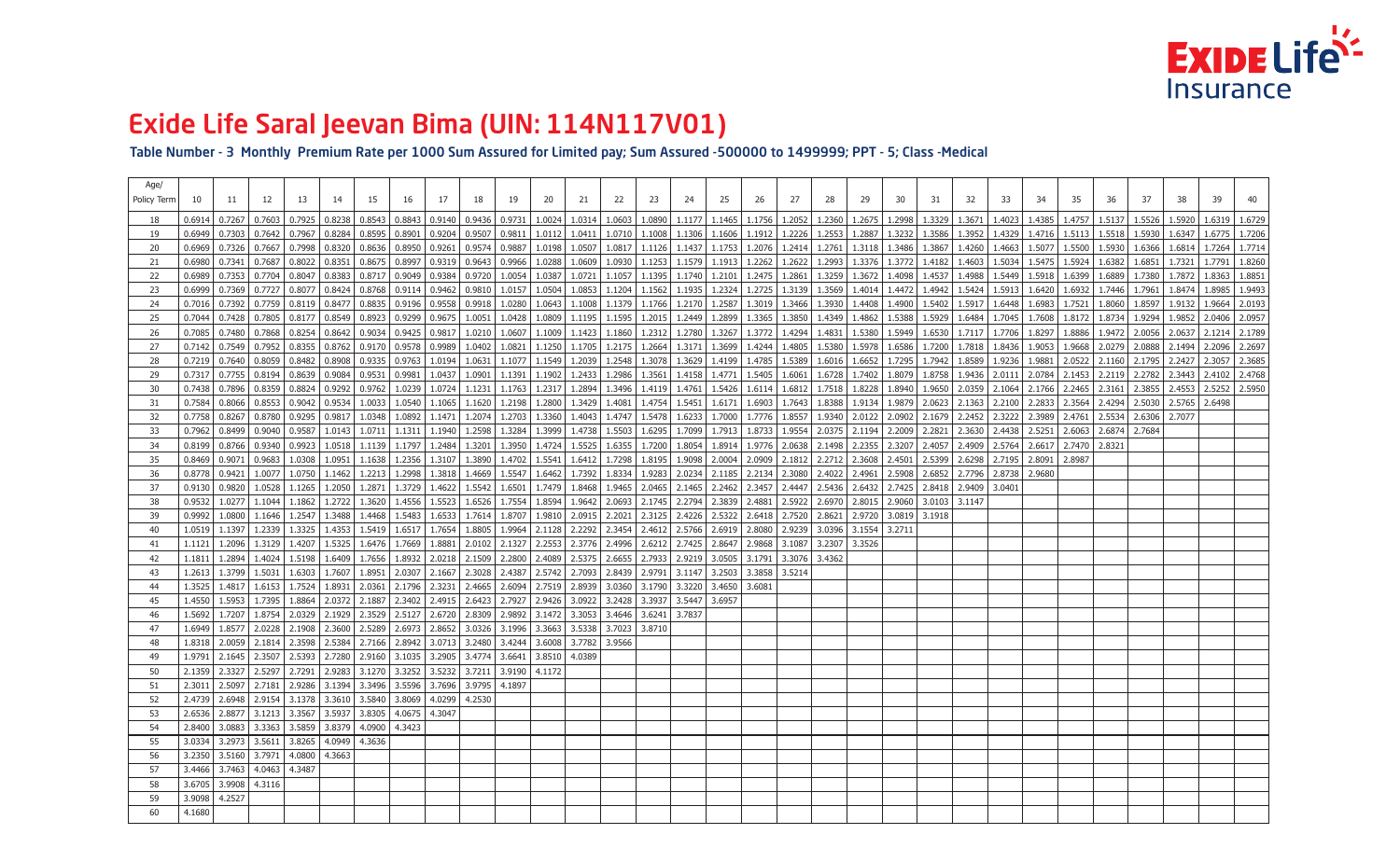Table Number - 3 Monthly Premium Rate per 1000 Sum Assured for Limited pay; Sum Assured -500000 to 1499999; PPT - 5; Class -Medical

| Age/               |                 |                               |                                                      |        |                 |                                                                                                                                                        |                 |                                                                         |                   |                                       |                                       |                   |                                                     |        |                                              |        |                                              |                            |                                                  |        |                                     |                 |                                                                                                                                               |               |                                |                  |               |                   |        |        |        |
|--------------------|-----------------|-------------------------------|------------------------------------------------------|--------|-----------------|--------------------------------------------------------------------------------------------------------------------------------------------------------|-----------------|-------------------------------------------------------------------------|-------------------|---------------------------------------|---------------------------------------|-------------------|-----------------------------------------------------|--------|----------------------------------------------|--------|----------------------------------------------|----------------------------|--------------------------------------------------|--------|-------------------------------------|-----------------|-----------------------------------------------------------------------------------------------------------------------------------------------|---------------|--------------------------------|------------------|---------------|-------------------|--------|--------|--------|
| <b>Policy Term</b> |                 |                               | 12                                                   | 13.    | 14              | 15                                                                                                                                                     | 16              |                                                                         | 18                | 19                                    | 20                                    |                   | 22                                                  | 23     | 24                                           | 25     | 26                                           |                            | 28                                               | 29     | 30                                  | 31              | 32                                                                                                                                            | 33            |                                | 35               | 36            | -37               | 38     | 39     |        |
|                    | 0.6914          | $0.7267$ 0.7603               |                                                      | 0.7925 |                 | 0.8238   0.8543                                                                                                                                        |                 | $0.8843$   0.9140   0.9436   0.9731   1.0024   1.0314   1.0603   1.0890 |                   |                                       |                                       |                   |                                                     |        |                                              |        |                                              |                            | 1.1177   1.1465   1.1756   1.2052   1.2360       |        | $1.2675$   1.2998   1.3329   1.3671 |                 |                                                                                                                                               |               | $1.4023$   1.4385   1.4757     |                  | 1.5137        | 1.5526            | 1.5920 | 1.6319 | 1.6729 |
| 19                 |                 | $0.6949$   0.7303   0.7642    |                                                      |        | $0.7967$ 0.8284 | 0.8595                                                                                                                                                 |                 | $0.8901$   0.9204   0.9507   0.9811                                     |                   |                                       | 1.0112 1.0411                         |                   | 1.0710                                              |        | $1.1008$   1.1306   1.1606                   |        |                                              |                            | 1.1912   1.2226   1.2553                         |        | 1.2887   1.3232   1.3586   1.3952   |                 |                                                                                                                                               |               | 1.4329   1.4716   1.5113       |                  |               | $1.5518$   1.5930 | 1.6347 | 1.6775 | 1.7206 |
| -20                | 0.6969          | $\mid 0.7326 \mid 0.7667$     |                                                      | 0.7998 | 0.8320          | 0.8636                                                                                                                                                 | 0.8950   0.9261 |                                                                         |                   | $\vert 0.9574 \vert 0.9887 \vert$     |                                       |                   |                                                     |        |                                              |        |                                              |                            |                                                  |        |                                     |                 | 1.0198   1.0507   1.0817   1.1126   1.1437   1.1753   1.2076   1.2414   1.2761   1.3118   1.3486   1.3867   1.4260   1.4663   1.5077   1.5500 |               |                                |                  |               | $1.5930$   1.6366 | 1.6814 | 1.7264 | 1.7714 |
| -21                | 0.6980          | $0.7341$ 0.7687               |                                                      | 0.8022 | 0.8351          | 0.8675                                                                                                                                                 | 0.8997          | 0.9319                                                                  |                   | $\vert$ 0.9643 $\vert$ 0.9966 $\vert$ |                                       | $1.0288$   1.0609 | 1.0930                                              |        | $1.1253$   1.1579   1.1913                   |        |                                              |                            | $1.2262$   1.2622   1.2993                       |        | $1.3376$ 1.3772                     | 1.4182          | 1.4603                                                                                                                                        |               | $1.5034$   1.5475   1.5924     |                  | 1.6382        | 1.6851            | 1.7321 | 1.7791 | 1.8260 |
|                    | 0.6989          | 0.7353   0.7704               |                                                      | 0.8047 | 0.8383          | 0.8717                                                                                                                                                 |                 | $0.9049$   0.9384   0.9720   1.0054                                     |                   |                                       | 1.0387                                | 1.0721            | 1.1057                                              |        | $1.1395$   1.1740   1.2101                   |        |                                              |                            | 1.2475   1.2861   1.3259                         |        | $1.3672$   1.4098                   | 1.4537          | 1.4988                                                                                                                                        | 1.5449        | 1.5918 1.6399                  |                  | 1.6889        | 1.7380            | 1.7872 | 1.8363 | 1.8851 |
|                    | 0.6999          | $0.7369$ 0.7727               |                                                      | 0.8077 | 0.8424          | 0.8768                                                                                                                                                 | 0.9114          | 0.9462                                                                  |                   | 0.9810   1.0157                       | 1.0504                                | 1.0853            | 1.1204                                              |        | $1.1562$   1.1935   1.2324                   |        |                                              |                            | 1.2725   1.3139   1.3569                         |        | $1.4014$ 1.4472                     | 1.4942          | 1.5424                                                                                                                                        |               | $1.5913$   $1.6420$   $1.6932$ |                  | 1.7446        | 1.7961            | 1.8474 | 1.8985 | 1.9493 |
| -24                | $0.7016$ l      | $\mid 0.7392 \mid 0.7759$     |                                                      | 0.8119 | 0.8477          | 0.8835                                                                                                                                                 | 0.9196          | 0.9558   0.9918   1.0280                                                |                   |                                       |                                       | $1.0643$   1.1008 | 1.1379                                              | 1.1766 | 1.2170 1.2587                                |        |                                              |                            | $1.3019$   1.3466   1.3930                       |        | 1.4408 1.4900                       | $1.5402$ 1.5917 |                                                                                                                                               |               | $1.6448$   1.6983   1.7521     |                  | 1.8060        | 1.8597            | 1.9132 | 1.9664 | 2.0193 |
|                    | 0.7044          | $\mid 0.7428 \mid 0.7805$     |                                                      | 0.8177 | 0.8549          | 0.8923                                                                                                                                                 | $0.9299$ $ $    | 0.9675   1.0051                                                         |                   |                                       | $1.0428$   1.0809   1.1195            |                   | 1.1595                                              |        | 1.2015   1.2449   1.2899                     |        |                                              |                            | $1.3365$   1.3850   1.4349                       |        | $1.4862$   1.5388                   | $1.5929$ 1.6484 |                                                                                                                                               |               | $1.7045$   1.7608   1.8172     |                  | 1.8734        | 1.9294            | 1.9852 | 2.0406 | 2.0957 |
| -26                | 0.7085          | 0.7480                        | 0.7868                                               | 0.8254 | 0.8642          | 0.9034                                                                                                                                                 | 0.9425          | 0.9817                                                                  | 1.0210            | 1.0607                                | 1.1009                                | 1.1423            | 1.1860                                              | 1.2312 | 1.2780                                       | 1.3267 | 1.3772 1.4294                                |                            | 1.4831                                           | 1.5380 | 1.5949                              | 1.6530   1.7117 |                                                                                                                                               | 1.7706        | 1.8297                         | 1.8886           | 1.9472        | 2.0056            | 2.0637 | 2.1214 | 2.1789 |
|                    | 0.7142          | $0.7549$ 0.7952               |                                                      | 0.8355 | 0.8762          | $0.9170$ $ $                                                                                                                                           | 0.9578          | 0.9989                                                                  | 1.0402            | 1.0821                                |                                       | $1.1250$   1.1705 | 1.2175                                              | 1.2664 | 1.3171                                       | 1.3699 |                                              |                            | 1.4244   1.4805   1.5380                         | 1.5978 | 1.6586                              | 1.7200          | 1.7818                                                                                                                                        |               | $1.8436$   1.9053   1.9668     |                  |               | 2.0279 2.0888     | 2.1494 | 2.2096 | 2.2697 |
|                    | $0.7219$ 0.7640 |                               | 0.8059                                               | 0.8482 | 0.8908          | 0.9335                                                                                                                                                 | 0.9763          | 1.0194                                                                  | 1.0631            | 1.1077                                |                                       | $1.1549$   1.2039 | 1.2548                                              | 1.3078 | 1.3629                                       | 1.4199 |                                              |                            | $1.4785$   1.5389   1.6016                       |        | $1.6652$   1.7295                   | 1.7942          | 1.8589                                                                                                                                        | 1.9236        | 1.9881                         | $ 2.0522\rangle$ | 2.1160 2.1795 |                   | 2.2427 | 2.3057 | 2.3685 |
|                    | 0.7317          | $\vert$ 0.7755 $\vert$ 0.8194 |                                                      | 0.8639 | 0.9084          | 0.9531                                                                                                                                                 | 0.9981          | 1.0437                                                                  | 1.0901            |                                       | $1.1391 \mid 1.1902 \mid 1.2433 \mid$ |                   | 1.2986                                              | 1.3561 | $1.4158$ 1.4771                              |        |                                              |                            | $1.5405$   1.6061   1.6728                       |        | 1.7402   1.8079                     |                 | 1.8758 1.9436                                                                                                                                 |               | $2.0111$   2.0784   2.1453     |                  | 2.2119        | 2.2782            | 2.3443 | 2.4102 | 2.4768 |
| 30                 | 0.7438          | 0.7896                        | 0.8359                                               | 0.8824 | 0.9292          | 0.9762                                                                                                                                                 | 1.0239          |                                                                         |                   | $1.0724$   1.1231   1.1763            | 1.2317                                | 1.2894            | 1.3496                                              | 1.4119 | 1.4761                                       | 1.5426 |                                              |                            | 1.6114   1.6812   1.7518                         |        | $1.8228$   1.8940                   | $1.9650$ 2.0359 |                                                                                                                                               |               | $2.1064$   2.1766   2.2465     |                  | 2.3161        | 2.3855            | 2.4553 | 2.5252 | 2.5950 |
|                    | 0.7584          | $0.8066$ $\mid$               | 0.8553                                               | 0.9042 | 0.9534          | 1.0033                                                                                                                                                 | 1.0540          |                                                                         | $1.1065$   1.1620 | 1.2198                                |                                       | 1.2800 1.3429     | 1.4081                                              | 1.4754 | 1.5451                                       | 1.6171 |                                              | $1.6903$   1.7643   1.8388 |                                                  | 1.9134 | 1.9879                              | 2.0623          | 2.1363                                                                                                                                        |               | 2.2100   2.2833   2.3564       |                  | 2.4294        | 2.5030            | 2.5765 | 2.6498 |        |
| 32                 | 0.7758          | 0.8267                        | 0.8780                                               | 0.9295 | 0.9817          | 1.0348                                                                                                                                                 | 1.0892          | 1.1471                                                                  | 1.2074            | 1.2703                                | 1.3360                                | 1.4043            | 1.4747                                              | 1.5478 | 1.6233                                       | 1.7000 |                                              |                            | 1.7776   1.8557   1.9340                         | 2.0122 | 2.0902                              | 2.1679          | 2.2452                                                                                                                                        | 2.3222        | 2.3989 2.4761                  |                  | 2.5534        | 2.6306            | 2.7077 |        |        |
| -33                | 0.7962          | 0.8499                        | 0.9040                                               | 0.9587 | 1.0143          | 1.0711                                                                                                                                                 | 1.1311          | 1.1940                                                                  | 1.2598            | 1.3284                                | 1.3999                                | 1.4738            | 1.5503                                              | 1.6295 | 1.7099                                       | 1.7913 |                                              | $1.8733$   1.9554          | 2.0375                                           | 2.1194 | 2.2009                              | 2.2821          | 2.3630                                                                                                                                        |               | $2.4438$   2.5251   2.6063     |                  | 2.6874        | 2.7684            |        |        |        |
| -34                | 0.8199          | 0.8766                        | 0.9340                                               | 0.9923 | 1.0518          | 1.1139                                                                                                                                                 | 1.1797          | 1.2484                                                                  | 1.3201            | 1.3950                                | 1.4724                                | 1.5525            | 1.6355                                              | 1.7200 | 1.8054                                       | 1.8914 |                                              |                            | $1.9776$   2.0638   2.1498                       | 2.2355 | 2.3207                              | 2.4057          | 2.4909                                                                                                                                        | 2.5764        | 2.6617 2.7470                  |                  | 2.8321        |                   |        |        |        |
| 35                 |                 | $0.8469$   0.9071   0.9683    |                                                      | 1.0308 | 1.0951          | 1.1638                                                                                                                                                 | 1.2356          | 1.3107                                                                  | 1.3890            |                                       | 1.4702 1.5541                         | 1.6412            | 1.7298                                              | 1.8195 | 1.9098 2.0004                                |        |                                              |                            | 2.0909   2.1812   2.2712                         | 2.3608 | 2.4501                              | 2.5399          | 2.6298                                                                                                                                        | 2.7195        | 2.8091 2.8987                  |                  |               |                   |        |        |        |
| 36                 | 0.8778          | 0.9421                        | 1.0077                                               | 1.0750 | 1.1462          | 1.2213                                                                                                                                                 | 1.2998          | 1.3818                                                                  | 1.4669            | 1.5547                                | 1.6462                                | 1.7392            | 1.8334                                              | 1.9283 | $2.0234$ 2.1185                              |        |                                              |                            | 2.2134   2.3080   2.4022                         | 2.4961 | 2.5908                              | 2.6852          | 2.7796                                                                                                                                        | 2.8738 2.9680 |                                |                  |               |                   |        |        |        |
| 37                 | 0.9130          | $\vert$ 0.9820 $\vert$        | 1.0528                                               | 1.1265 | 1.2050          | 1.2871                                                                                                                                                 | 1.3729          |                                                                         | $1.4622$   1.5542 | 1.6501                                | 1.7479                                | 1.8468            | 1.9465                                              |        | $\vert$ 2.0465 $\vert$ 2.1465 $\vert$ 2.2462 |        |                                              |                            | $\mid$ 2.3457 $\mid$ 2.4447 $\mid$ 2.5436 $\mid$ | 2.6432 | 2.7425                              | 2.8418 2.9409   |                                                                                                                                               | 3.0401        |                                |                  |               |                   |        |        |        |
| -38                | 0.9532          | 1.0277                        | 1.1044                                               | 1.1862 | 1.2722          | 1.3620                                                                                                                                                 | 1.4556          | 1.5523                                                                  | 1.6526            | 1.7554                                | 1.8594                                |                   | $1.9642$ 2.0693                                     |        | 2.1745   2.2794   2.3839                     |        | $2.4881$ 2.5922                              |                            | 2.6970                                           | 2.8015 | 2.9060                              | 3.0103          | 3.1147                                                                                                                                        |               |                                |                  |               |                   |        |        |        |
| 39                 | 0.9992          | 1.0800                        | 1.1646                                               | 1.2547 | 1.3488          | 1.4468                                                                                                                                                 | 1.5483          | 1.6533                                                                  | 1.7614            | 1.8707                                | 1.9810                                | 2.0915 2.2021     |                                                     |        | 2.3125   2.4226   2.5322                     |        | $\vert$ 2.6418 $\vert$ 2.7520 $\vert$ 2.8621 |                            |                                                  | 2.9720 | 3.0819                              | 3.1918          |                                                                                                                                               |               |                                |                  |               |                   |        |        |        |
| 40                 | 1.0519          | 1.1397                        | 1.2339                                               | 1.3325 | 1.4353          | 1.5419                                                                                                                                                 | 1.6517          | 1.7654                                                                  | 1.8805            | 1.9964                                | 2.1128                                |                   | 2.2292 2.3454                                       |        | 2.4612   2.5766   2.6919                     |        | 2.8080 2.9239                                |                            | 3.0396                                           | 3.1554 | 3.2711                              |                 |                                                                                                                                               |               |                                |                  |               |                   |        |        |        |
|                    | 1.1121          | 1.2096   1.3129               |                                                      | 1.4207 | 1.5325          | 1.6476                                                                                                                                                 | 1.7669          | 1.8881                                                                  |                   |                                       |                                       |                   | 2.0102   2.1327   2.2553   2.3776   2.4996          |        | $2.6212$   2.7425   2.8647                   |        | 2.9868 3.1087                                |                            | 3.2307                                           | 3.3526 |                                     |                 |                                                                                                                                               |               |                                |                  |               |                   |        |        |        |
|                    |                 | 1.2894 1.4024                 |                                                      | 1.5198 | 1.6409          | 1.7656                                                                                                                                                 | 1.8932          |                                                                         |                   |                                       |                                       |                   | 2.0218   2.1509   2.2800   2.4089   2.5375   2.6655 | 2.7933 |                                              |        | 2.9219 3.0505 3.1791 3.3076 3.4362           |                            |                                                  |        |                                     |                 |                                                                                                                                               |               |                                |                  |               |                   |        |        |        |
|                    |                 | 1.2613   1.3799   1.5031      |                                                      | 1.6303 | 1.7607          | 1.8951                                                                                                                                                 | 2.0307          | 2.1667   2.3028   2.4387   2.5742   2.7093   2.8439                     |                   |                                       |                                       |                   |                                                     | 2.9791 |                                              |        | 3.1147 3.2503 3.3858 3.5214                  |                            |                                                  |        |                                     |                 |                                                                                                                                               |               |                                |                  |               |                   |        |        |        |
|                    |                 |                               |                                                      |        |                 | 1.3525   1.4817   1.6153   1.7524   1.8931   2.0361   2.1796   2.3231   2.4665   2.6094   2.7519   2.8939   3.0360   3.1790   3.3220   3.4650   3.6081 |                 |                                                                         |                   |                                       |                                       |                   |                                                     |        |                                              |        |                                              |                            |                                                  |        |                                     |                 |                                                                                                                                               |               |                                |                  |               |                   |        |        |        |
|                    |                 |                               |                                                      |        |                 | 1.4550   1.5953   1.7395   1.8864   2.0372   2.1887   2.3402   2.4915   2.6423   2.7927   2.9426   3.0922   3.2428   3.3937   3.5447   3.6957          |                 |                                                                         |                   |                                       |                                       |                   |                                                     |        |                                              |        |                                              |                            |                                                  |        |                                     |                 |                                                                                                                                               |               |                                |                  |               |                   |        |        |        |
|                    |                 |                               |                                                      |        |                 | 1.5692 1.7207 1.8754 2.0329 2.1929 2.3529 2.5127 2.6720 2.8309 2.9892 3.1472 3.3053 3.4646 3.6241 3.7837                                               |                 |                                                                         |                   |                                       |                                       |                   |                                                     |        |                                              |        |                                              |                            |                                                  |        |                                     |                 |                                                                                                                                               |               |                                |                  |               |                   |        |        |        |
| 47                 |                 |                               |                                                      |        |                 | 1.6949   1.8577   2.0228   2.1908   2.3600   2.5289   2.6973   2.8652   3.0326   3.1996   3.3663   3.5338   3.7023   3.8710                            |                 |                                                                         |                   |                                       |                                       |                   |                                                     |        |                                              |        |                                              |                            |                                                  |        |                                     |                 |                                                                                                                                               |               |                                |                  |               |                   |        |        |        |
|                    |                 |                               |                                                      |        |                 | 1.8318 2.0059 2.1814 2.3598 2.5384 2.7166 2.8942 3.0713 3.2480 3.4244 3.6008 3.7782 3.9566                                                             |                 |                                                                         |                   |                                       |                                       |                   |                                                     |        |                                              |        |                                              |                            |                                                  |        |                                     |                 |                                                                                                                                               |               |                                |                  |               |                   |        |        |        |
|                    |                 |                               |                                                      |        |                 | 1.9791   2.1645   2.3507   2.5393   2.7280   2.9160   3.1035   3.2905   3.4774   3.6641   3.8510   4.0389                                              |                 |                                                                         |                   |                                       |                                       |                   |                                                     |        |                                              |        |                                              |                            |                                                  |        |                                     |                 |                                                                                                                                               |               |                                |                  |               |                   |        |        |        |
|                    |                 |                               |                                                      |        |                 | 2.1359 2.3327 2.5297 2.7291 2.9283 3.1270 3.3252 3.5232 3.7211 3.9190 4.1172                                                                           |                 |                                                                         |                   |                                       |                                       |                   |                                                     |        |                                              |        |                                              |                            |                                                  |        |                                     |                 |                                                                                                                                               |               |                                |                  |               |                   |        |        |        |
| -51                |                 |                               |                                                      |        |                 | 2.3011 2.5097 2.7181 2.9286 3.1394 3.3496 3.5596 3.7696 3.9795 4.1897                                                                                  |                 |                                                                         |                   |                                       |                                       |                   |                                                     |        |                                              |        |                                              |                            |                                                  |        |                                     |                 |                                                                                                                                               |               |                                |                  |               |                   |        |        |        |
|                    |                 |                               |                                                      |        |                 | 2.4739   2.6948   2.9154   3.1378   3.3610   3.5840   3.8069   4.0299   4.2530                                                                         |                 |                                                                         |                   |                                       |                                       |                   |                                                     |        |                                              |        |                                              |                            |                                                  |        |                                     |                 |                                                                                                                                               |               |                                |                  |               |                   |        |        |        |
|                    |                 |                               |                                                      |        |                 | 2.6536 2.8877 3.1213 3.3567 3.5937 3.8305 4.0675 4.3047                                                                                                |                 |                                                                         |                   |                                       |                                       |                   |                                                     |        |                                              |        |                                              |                            |                                                  |        |                                     |                 |                                                                                                                                               |               |                                |                  |               |                   |        |        |        |
|                    |                 |                               |                                                      |        |                 | 2.8400   3.0883   3.3363   3.5859   3.8379   4.0900   4.3423                                                                                           |                 |                                                                         |                   |                                       |                                       |                   |                                                     |        |                                              |        |                                              |                            |                                                  |        |                                     |                 |                                                                                                                                               |               |                                |                  |               |                   |        |        |        |
| 55                 |                 |                               |                                                      |        |                 | 3.0334 3.2973 3.5611 3.8265 4.0949 4.3636                                                                                                              |                 |                                                                         |                   |                                       |                                       |                   |                                                     |        |                                              |        |                                              |                            |                                                  |        |                                     |                 |                                                                                                                                               |               |                                |                  |               |                   |        |        |        |
|                    |                 |                               | $3.2350$   $3.5160$   $3.7971$   $4.0800$   $4.3663$ |        |                 |                                                                                                                                                        |                 |                                                                         |                   |                                       |                                       |                   |                                                     |        |                                              |        |                                              |                            |                                                  |        |                                     |                 |                                                                                                                                               |               |                                |                  |               |                   |        |        |        |
| 57                 |                 |                               | $3.4466$ 3.7463 4.0463 4.3487                        |        |                 |                                                                                                                                                        |                 |                                                                         |                   |                                       |                                       |                   |                                                     |        |                                              |        |                                              |                            |                                                  |        |                                     |                 |                                                                                                                                               |               |                                |                  |               |                   |        |        |        |
|                    |                 | $3.6705$ 3.9908 4.3116        |                                                      |        |                 |                                                                                                                                                        |                 |                                                                         |                   |                                       |                                       |                   |                                                     |        |                                              |        |                                              |                            |                                                  |        |                                     |                 |                                                                                                                                               |               |                                |                  |               |                   |        |        |        |
| 59                 | 3.9098 4.2527   |                               |                                                      |        |                 |                                                                                                                                                        |                 |                                                                         |                   |                                       |                                       |                   |                                                     |        |                                              |        |                                              |                            |                                                  |        |                                     |                 |                                                                                                                                               |               |                                |                  |               |                   |        |        |        |
| 60                 | 4.1680          |                               |                                                      |        |                 |                                                                                                                                                        |                 |                                                                         |                   |                                       |                                       |                   |                                                     |        |                                              |        |                                              |                            |                                                  |        |                                     |                 |                                                                                                                                               |               |                                |                  |               |                   |        |        |        |
|                    |                 |                               |                                                      |        |                 |                                                                                                                                                        |                 |                                                                         |                   |                                       |                                       |                   |                                                     |        |                                              |        |                                              |                            |                                                  |        |                                     |                 |                                                                                                                                               |               |                                |                  |               |                   |        |        |        |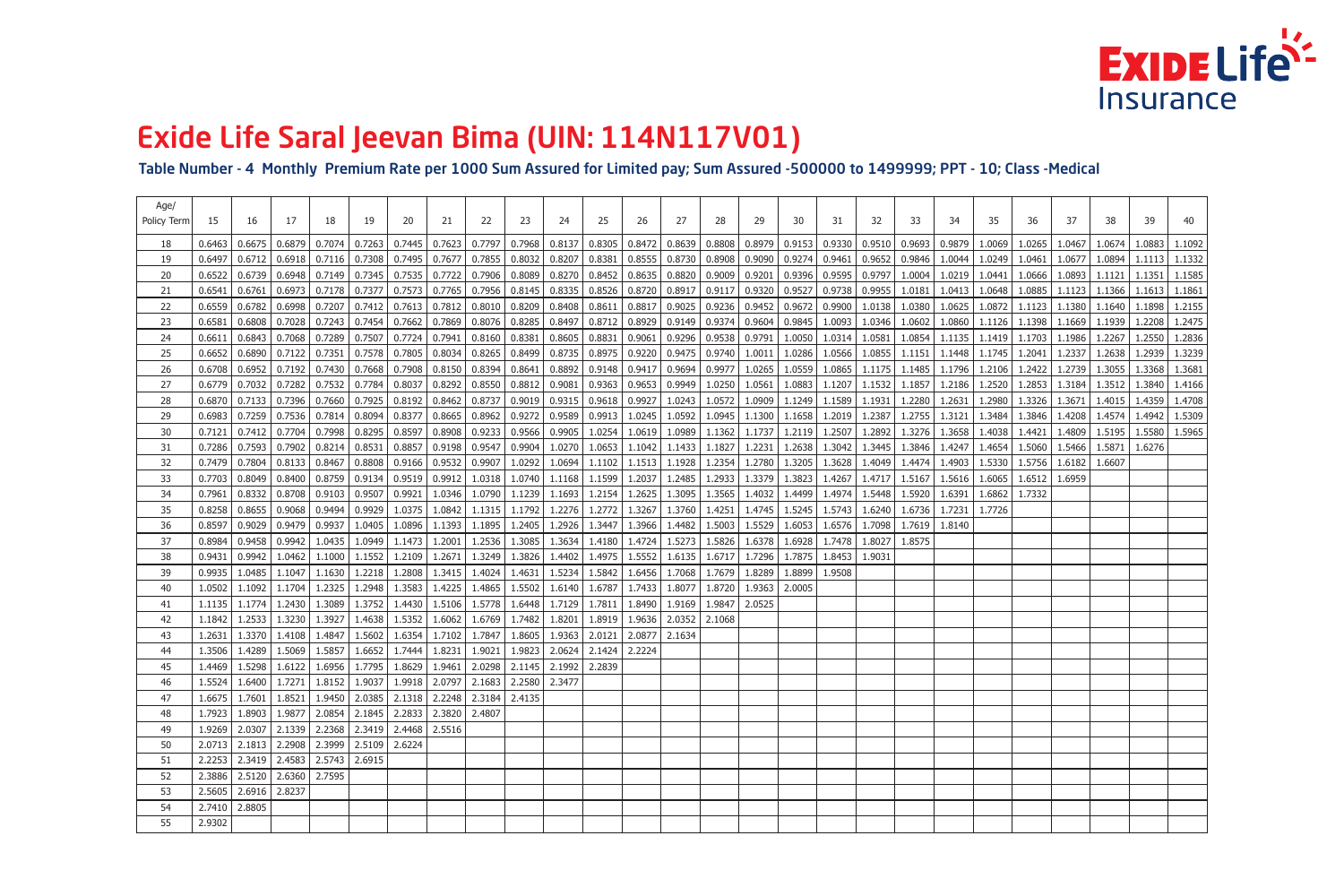Table Number - 4 Monthly Premium Rate per 1000 Sum Assured for Limited pay; Sum Assured -500000 to 1499999; PPT - 10; Class -Medical

| Age/<br>Policy Term | 15     | 16                                                  | 17     | 18     | 19     | 20                                                                                               | 21     | 22     | 23     | 24     | 25     | 26     | 27     | 28                | 29     | 30              | 31     | 32     | 33     | 34     | 35     | 36     | 37     | 38     | 39     | 40     |
|---------------------|--------|-----------------------------------------------------|--------|--------|--------|--------------------------------------------------------------------------------------------------|--------|--------|--------|--------|--------|--------|--------|-------------------|--------|-----------------|--------|--------|--------|--------|--------|--------|--------|--------|--------|--------|
| 18                  | 0.6463 | 0.6675                                              | 0.6879 | 0.7074 | 0.7263 | 0.7445                                                                                           | 0.7623 | 0.7797 | 0.7968 | 0.8137 | 0.8305 | 0.8472 | 0.8639 | 0.8808            |        | $0.8979$ 0.9153 | 0.9330 | 0.9510 | 0.9693 | 0.9879 | 1.0069 | 1.0265 | 1.0467 | 1.0674 | 1.0883 | 1.1092 |
| 19                  | 0.6497 | 0.6712                                              | 0.6918 | 0.7116 | 0.7308 | 0.7495                                                                                           | 0.7677 | 0.7855 | 0.8032 | 0.8207 | 0.8381 | 0.8555 | 0.8730 | 0.8908            | 0.9090 | 0.9274          | 0.9461 | 0.9652 | 0.9846 | 1.0044 | 1.0249 | 1.0461 | 1.0677 | 1.0894 | 1.1113 | 1.1332 |
| 20                  | 0.6522 | 0.6739                                              | 0.6948 | 0.7149 | 0.7345 | 0.7535                                                                                           | 0.7722 | 0.7906 | 0.8089 | 0.8270 | 0.8452 | 0.8635 | 0.8820 | 0.9009            | 0.9201 | 0.9396          | 0.9595 | 0.9797 | 1.0004 | 1.0219 | 1.0441 | 1.0666 | 1.0893 | 1.1121 | 1.1351 | 1.1585 |
| 21                  | 0.6541 | 0.6761                                              | 0.6973 | 0.7178 | 0.7377 | 0.7573                                                                                           | 0.7765 | 0.7956 | 0.8145 | 0.8335 | 0.8526 | 0.8720 | 0.8917 | 0.9117            | 0.9320 | 0.9527          | 0.9738 | 0.9955 | 1.0181 | 1.0413 | 1.0648 | 1.0885 | 1.1123 | 1.1366 | 1.1613 | 1.1861 |
| 22                  | 0.6559 | 0.6782                                              | 0.6998 | 0.7207 | 0.7412 | 0.7613                                                                                           | 0.7812 | 0.8010 | 0.8209 | 0.8408 | 0.8611 | 0.8817 | 0.9025 | 0.9236            | 0.9452 | 0.9672          | 0.9900 | 1.0138 | 1.0380 | 1.0625 | 1.0872 | 1.1123 | 1.1380 | 1.1640 | 1.1898 | 1.2155 |
| 23                  | 0.6581 | 0.6808                                              | 0.7028 | 0.7243 | 0.7454 | 0.7662                                                                                           | 0.7869 | 0.8076 | 0.8285 | 0.8497 | 0.8712 | 0.8929 | 0.9149 | 0.9374            | 0.9604 | 0.9845          | 1.0093 | 1.0346 | 1.0602 | 1.0860 | 1.1126 | 1.1398 | 1.1669 | 1.1939 | 1.2208 | 1.2475 |
| 24                  | 0.6611 | 0.6843                                              | 0.7068 | 0.7289 | 0.7507 | 0.7724                                                                                           | 0.7941 | 0.8160 | 0.8381 | 0.8605 | 0.8831 | 0.9061 | 0.9296 | 0.9538            | 0.9791 | 1.0050          | 1.0314 | 1.0581 | 1.0854 | 1.1135 | 1.1419 | 1.1703 | 1.1986 | 1.2267 | 1.2550 | 1.2836 |
| 25                  | 0.6652 | 0.6890                                              | 0.7122 | 0.7351 | 0.7578 | 0.7805                                                                                           | 0.8034 | 0.8265 | 0.8499 | 0.8735 | 0.8975 | 0.9220 |        | 0.9475   0.9740   | 1.0011 | 1.0286          | 1.0566 | 1.0855 | 1.1151 | 1.1448 | 1.1745 | 1.2041 | 1.2337 | 1.2638 | 1.2939 | 1.3239 |
| 26                  | 0.6708 | 0.6952                                              | 0.7192 | 0.7430 | 0.7668 | 0.7908                                                                                           | 0.8150 | 0.8394 | 0.8641 | 0.8892 | 0.9148 | 0.9417 | 0.9694 | 0.9977            | 1.0265 | 1.0559          | 1.0865 | 1.1175 | 1.1485 | 1.1796 | 1.2106 | 1.2422 | 1.2739 | 1.3055 | 1.3368 | 1.3681 |
| 27                  | 0.6779 | 0.7032                                              | 0.7282 | 0.7532 | 0.7784 | 0.8037                                                                                           | 0.8292 | 0.8550 | 0.8812 | 0.9081 | 0.9363 | 0.9653 |        | $0.9949$   1.0250 | 1.0561 | 1.0883          | 1.1207 | 1.1532 | 1.1857 | 1.2186 | 1.2520 | 1.2853 | 1.3184 | 1.3512 | 1.3840 | 1.4166 |
| 28                  | 0.6870 | 0.7133                                              | 0.7396 | 0.7660 | 0.7925 | 0.8192                                                                                           | 0.8462 | 0.8737 | 0.9019 | 0.9315 | 0.9618 | 0.9927 |        | $1.0243$   1.0572 | 1.0909 | 1.1249          | 1.1589 | 1.1931 | 1.2280 | 1.2631 | 1.2980 | 1.3326 | 1.3671 | 1.4015 | 1.4359 | 1.4708 |
| 29                  | 0.6983 | 0.7259                                              | 0.7536 | 0.7814 | 0.8094 | 0.8377                                                                                           | 0.8665 | 0.8962 | 0.9272 | 0.9589 | 0.9913 | 1.0245 | 1.0592 | 1.0945            | 1.1300 | 1.1658          | 1.2019 | 1.2387 | 1.2755 | 1.3121 | 1.3484 | 1.3846 | 1.4208 | 1.4574 | 1.4942 | 1.5309 |
| 30                  | 0.7121 | 0.7412                                              | 0.7704 | 0.7998 | 0.8295 | 0.8597                                                                                           | 0.8908 | 0.9233 | 0.9566 | 0.9905 | 1.0254 | 1.0619 | 1.0989 | 1.1362            | 1.1737 | 1.2119          | 1.2507 | 1.2892 | 1.3276 | 1.3658 | 1.4038 | 1.4421 | 1.4809 | 1.5195 | 1.5580 | 1.5965 |
| 31                  | 0.7286 | 0.7593                                              | 0.7902 | 0.8214 | 0.8531 | 0.8857                                                                                           | 0.9198 | 0.9547 | 0.9904 | 1.0270 | 1.0653 | 1.1042 | 1.1433 | 1.1827            | 1.2231 | 1.2638          | 1.3042 | 1.3445 | 1.3846 | 1.4247 | 1.4654 | 1.5060 | 1.5466 | 1.5871 | 1.6276 |        |
| 32                  | 0.7479 | 0.7804                                              | 0.8133 | 0.8467 | 0.8808 | 0.9166                                                                                           | 0.9532 | 0.9907 | 1.0292 | 1.0694 | 1.1102 | 1.1513 | 1.1928 | 1.2354            | 1.2780 | 1.3205          | 1.3628 | 1.4049 | 1.4474 | 1.4903 | 1.5330 | 1.5756 | 1.6182 | 1.6607 |        |        |
| 33                  | 0.7703 | 0.8049                                              | 0.8400 | 0.8759 | 0.9134 | 0.9519                                                                                           | 0.9912 | 1.0318 | 1.0740 | 1.1168 | 1.1599 | 1.2037 | 1.2485 | 1.2933            | 1.3379 | 1.3823          | 1.4267 | 1.4717 | 1.5167 | 1.5616 | 1.6065 | 1.6512 | 1.6959 |        |        |        |
| 34                  | 0.7961 | 0.8332                                              | 0.8708 | 0.9103 | 0.9507 | 0.9921                                                                                           | 1.0346 | 1.0790 | 1.1239 | 1.1693 | 1.2154 | 1.2625 | 1.3095 | 1.3565            | 1.4032 | 1.4499          | 1.4974 | 1.5448 | 1.5920 | 1.6391 | 1.6862 | 1.7332 |        |        |        |        |
| 35                  | 0.8258 | 0.8655                                              | 0.9068 | 0.9494 | 0.9929 | 1.0375                                                                                           | 1.0842 | 1.1315 | 1.1792 | 1.2276 | 1.2772 | 1.3267 | 1.3760 | 1.4251            | 1.4745 | 1.5245          | 1.5743 | 1.6240 | 1.6736 | 1.7231 | 1.7726 |        |        |        |        |        |
| 36                  | 0.8597 | 0.9029                                              | 0.9479 | 0.9937 | 1.0405 | 1.0896                                                                                           | 1.1393 | 1.1895 | 1.2405 | 1.2926 | 1.3447 | 1.3966 | 1.4482 | 1.5003            | 1.5529 | 1.6053          | 1.6576 | 1.7098 | 1.7619 | 1.8140 |        |        |        |        |        |        |
| 37                  | 0.8984 | 0.9458                                              | 0.9942 | 1.0435 | 1.0949 | 1.1473                                                                                           | 1.2001 | 1.2536 | 1.3085 | 1.3634 | 1.4180 | 1.4724 | 1.5273 | 1.5826            | 1.6378 | 1.6928          | 1.7478 | 1.8027 | 1.8575 |        |        |        |        |        |        |        |
| 38                  | 0.9431 | 0.9942                                              | 1.0462 | 1.1000 | 1.1552 | 1.2109                                                                                           | 1.2671 | 1.3249 | 1.3826 | 1.4402 | 1.4975 | 1.5552 | 1.6135 | 1.6717            | 1.7296 | 1.7875          | 1.8453 | 1.9031 |        |        |        |        |        |        |        |        |
| 39                  | 0.9935 | 1.0485                                              | 1.1047 | 1.1630 | 1.2218 | 1.2808                                                                                           | 1.3415 | 1.4024 | 1.4631 | 1.5234 | 1.5842 | 1.6456 | 1.7068 | 1.7679            | 1.8289 | 1.8899          | 1.9508 |        |        |        |        |        |        |        |        |        |
| 40                  | 1.0502 | 1.1092                                              | 1.1704 | 1.2325 | 1.2948 | 1.3583                                                                                           | 1.4225 | 1.4865 | 1.5502 | 1.6140 | 1.6787 | 1.7433 | 1.8077 | 1.8720            | 1.9363 | 2.0005          |        |        |        |        |        |        |        |        |        |        |
| 41                  | 1.1135 | 1.1774                                              | 1.2430 | 1.3089 | 1.3752 | 1.4430                                                                                           | 1.5106 | 1.5778 | 1.6448 | 1.7129 | 1.7811 | 1.8490 | 1.9169 | 1.9847            | 2.0525 |                 |        |        |        |        |        |        |        |        |        |        |
| 42                  | 1.1842 | 1.2533                                              | 1.3230 | 1.3927 | 1.4638 | 1.5352                                                                                           | 1.6062 | 1.6769 | 1.7482 | 1.8201 | 1.8919 | 1.9636 | 2.0352 | 2.1068            |        |                 |        |        |        |        |        |        |        |        |        |        |
| 43                  | 1.2631 | 1.3370                                              | 1.4108 | 1.4847 | 1.5602 | 1.6354                                                                                           | 1.7102 | 1.7847 | 1.8605 | 1.9363 | 2.0121 | 2.0877 | 2.1634 |                   |        |                 |        |        |        |        |        |        |        |        |        |        |
| 44                  | 1.3506 | 1.4289                                              | 1.5069 | 1.5857 | 1.6652 | 1.7444                                                                                           | 1.8231 | 1.9021 | 1.9823 | 2.0624 | 2.1424 | 2.2224 |        |                   |        |                 |        |        |        |        |        |        |        |        |        |        |
| 45                  |        |                                                     |        |        |        | 1.4469   1.5298   1.6122   1.6956   1.7795   1.8629   1.9461   2.0298   2.1145   2.1992   2.2839 |        |        |        |        |        |        |        |                   |        |                 |        |        |        |        |        |        |        |        |        |        |
| 46                  |        |                                                     |        |        |        | 1.5524   1.6400   1.7271   1.8152   1.9037   1.9918   2.0797   2.1683   2.2580   2.3477          |        |        |        |        |        |        |        |                   |        |                 |        |        |        |        |        |        |        |        |        |        |
| 47                  |        |                                                     |        |        |        | 1.6675   1.7601   1.8521   1.9450   2.0385   2.1318   2.2248   2.3184   2.4135                   |        |        |        |        |        |        |        |                   |        |                 |        |        |        |        |        |        |        |        |        |        |
| 48                  |        |                                                     |        |        |        | 1.7923   1.8903   1.9877   2.0854   2.1845   2.2833   2.3820                                     |        | 2.4807 |        |        |        |        |        |                   |        |                 |        |        |        |        |        |        |        |        |        |        |
| 49                  |        |                                                     |        |        |        | 1.9269   2.0307   2.1339   2.2368   2.3419   2.4468   2.5516                                     |        |        |        |        |        |        |        |                   |        |                 |        |        |        |        |        |        |        |        |        |        |
| 50                  |        | 2.0713   2.1813   2.2908   2.3999   2.5109   2.6224 |        |        |        |                                                                                                  |        |        |        |        |        |        |        |                   |        |                 |        |        |        |        |        |        |        |        |        |        |
| 51                  |        | $2.2253$   2.3419   2.4583   2.5743   2.6915        |        |        |        |                                                                                                  |        |        |        |        |        |        |        |                   |        |                 |        |        |        |        |        |        |        |        |        |        |
| 52                  |        | 2.3886   2.5120   2.6360   2.7595                   |        |        |        |                                                                                                  |        |        |        |        |        |        |        |                   |        |                 |        |        |        |        |        |        |        |        |        |        |
| 53                  |        | 2.5605   2.6916   2.8237                            |        |        |        |                                                                                                  |        |        |        |        |        |        |        |                   |        |                 |        |        |        |        |        |        |        |        |        |        |
| 54                  |        | 2.7410 2.8805                                       |        |        |        |                                                                                                  |        |        |        |        |        |        |        |                   |        |                 |        |        |        |        |        |        |        |        |        |        |
| 55                  | 2.9302 |                                                     |        |        |        |                                                                                                  |        |        |        |        |        |        |        |                   |        |                 |        |        |        |        |        |        |        |        |        |        |

## **EXIDELIFE** Insurance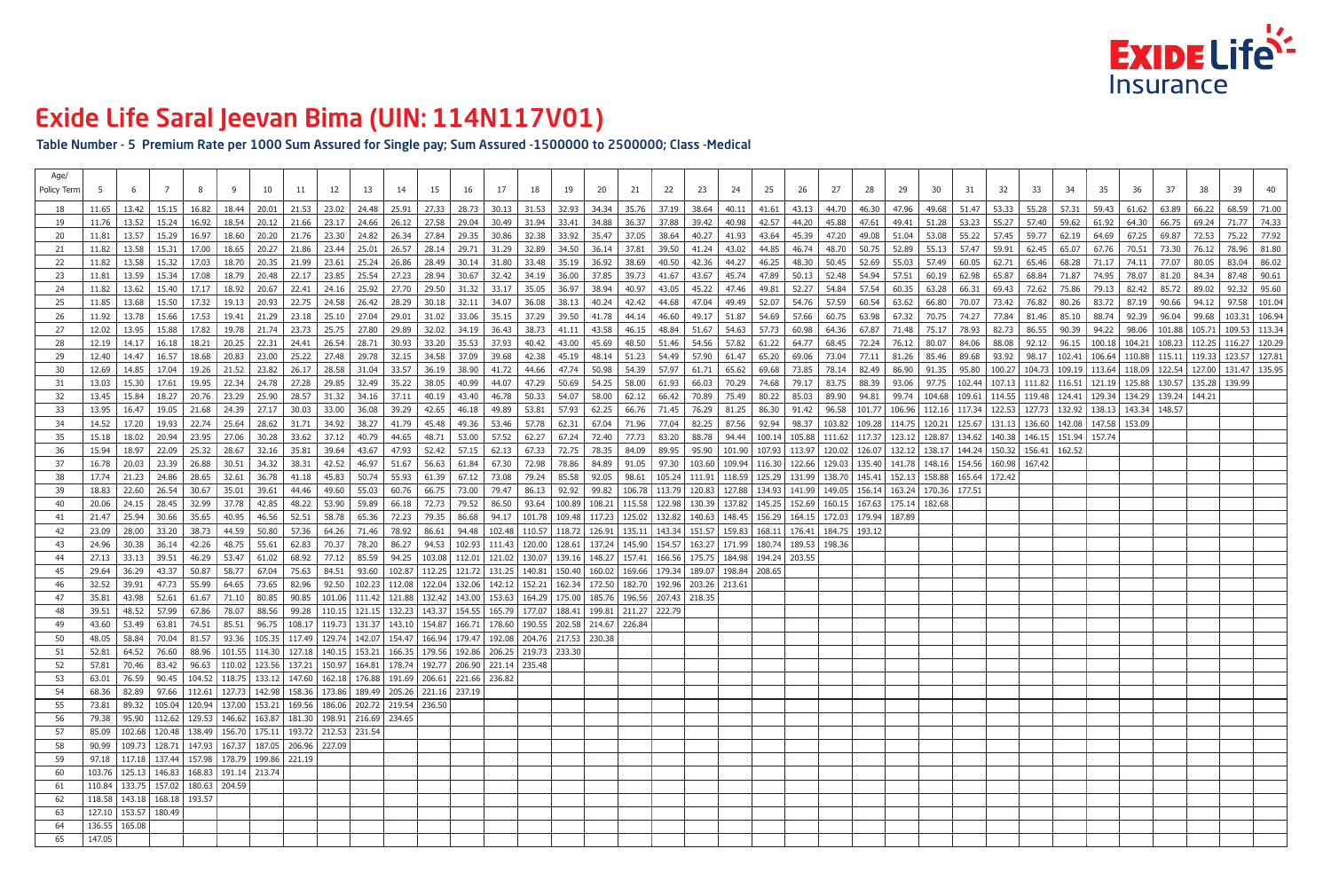Table Number - 5 Premium Rate per 1000 Sum Assured for Single pay; Sum Assured -1500000 to 2500000; Class -Medical

| Age/<br>Policy Term |                  |                                                     |           |         |                 |         |                                                                                       |         |               |             |                                                                                                                                                                                                                                 |             |                                                             |                 |       |                   |       | -22           | -23    |        |                                                                                                          |                          | 27              |               | 29    | 30    |       |       |                                                                                                                                                                                            |       |               |       |       |       |               |                         |
|---------------------|------------------|-----------------------------------------------------|-----------|---------|-----------------|---------|---------------------------------------------------------------------------------------|---------|---------------|-------------|---------------------------------------------------------------------------------------------------------------------------------------------------------------------------------------------------------------------------------|-------------|-------------------------------------------------------------|-----------------|-------|-------------------|-------|---------------|--------|--------|----------------------------------------------------------------------------------------------------------|--------------------------|-----------------|---------------|-------|-------|-------|-------|--------------------------------------------------------------------------------------------------------------------------------------------------------------------------------------------|-------|---------------|-------|-------|-------|---------------|-------------------------|
|                     |                  | 13.42 l                                             | $15.15$   | 16.82   |                 |         |                                                                                       |         |               |             | 18.44   20.01   21.53   23.02   24.48   25.91   27.33   28.73   30.13   31.53   32.93   34.34   35.76   37.19   38.64   40.11   41.61   43.13   44.70   46.30   47.96                                                           |             |                                                             |                 |       |                   |       |               |        |        |                                                                                                          |                          |                 |               |       |       |       |       | 49.68   51.47   53.33   55.28   57.31   59.43   61.62   63.89                                                                                                                              |       |               |       |       | 66.22 | 68.59   71.00 |                         |
|                     | 11.76            | 13.52                                               | 15.24     | 16.92   | 18.54 l         |         |                                                                                       |         |               |             | 20.12   21.66   23.17   24.66   26.12   27.58   29.04   30.49   31.94   33.41                                                                                                                                                   |             |                                                             |                 |       | 34.88             | 36.37 | 37.88         | 39.42  | 40.98  | 42.57                                                                                                    | 44.20                    | 45.88           | 47.61         | 49.41 | 51.28 | 53.23 | 55.27 | 57.40                                                                                                                                                                                      | 59.62 | 61.92         | 64.30 | 66.75 | 69.24 |               | 71.77 74.33             |
| 20                  |                  | $11.81$   13.57                                     | 15.29     | 16.97   | 18.60           |         |                                                                                       |         |               |             | 20.20   21.76   23.30   24.82   26.34   27.84   29.35   30.86   32.38   33.92   35.47                                                                                                                                           |             |                                                             |                 |       |                   | 37.05 | 38.64         | 40.27  | 41.93  | 43.64                                                                                                    | 45.39                    | 47.20           | 49.08         | 51.04 | 53.08 | 55.22 | 57.45 | 59.77                                                                                                                                                                                      | 62.19 | 64.69         | 67.25 | 69.87 | 72.53 | 75.22 77.92   |                         |
| 21                  | 11.82            | 13.58                                               | 15.31     | 17.00   | 18.65           |         | 20.27 21.86 23.44                                                                     |         | 25.01         |             | 26.57 28.14                                                                                                                                                                                                                     | 29.71 31.29 |                                                             | 32.89           | 34.50 | 36.14             | 37.81 | 39.50         | 41.24  | 43.02  | 44.85                                                                                                    | 46.74                    | 48.70           | 50.75         | 52.89 | 55.13 | 57.47 | 59.91 | 62.45                                                                                                                                                                                      | 65.07 | 67.76         | 70.51 | 73.30 | 76.12 | 78.96 81.80   |                         |
| -22                 | 11.82            | 13.58                                               | 15.32     | 17.03   |                 |         |                                                                                       |         |               |             | 18.70   20.35   21.99   23.61   25.24   26.86   28.49   30.14   31.80   33.48   35.19   36.92                                                                                                                                   |             |                                                             |                 |       |                   | 38.69 | 40.50         | 42.36  | 44.27  | 46.25                                                                                                    | 48.30                    | 50.45           | 52.69         | 55.03 | 57.49 | 60.05 | 62.71 | 65.46                                                                                                                                                                                      | 68.28 | 71.17   74.11 |       | 77.07 | 80.05 | 83.04 86.02   |                         |
| -23                 | 11.81            | 13.59                                               | 15.34     | 17.08   | 18.79 l         |         |                                                                                       |         |               |             | 20.48   22.17   23.85   25.54   27.23   28.94   30.67   32.42   34.19   36.00                                                                                                                                                   |             |                                                             |                 |       | 37.85             | 39.73 | 41.67         | 43.67  | 45.74  | 47.89                                                                                                    | 50.13                    | 52.48           | 54.94         | 57.51 | 60.19 | 62.98 | 65.87 | 68.84                                                                                                                                                                                      | 71.87 | 74.95 78.07   |       | 81.20 | 84.34 | 87.48 90.61   |                         |
| -24                 |                  | $11.82$   13.62                                     | 15.40     | 17.17   |                 |         |                                                                                       |         |               |             | 18.92   20.67   22.41   24.16   25.92   27.70   29.50   31.32   33.17   35.05   36.97   38.94                                                                                                                                   |             |                                                             |                 |       |                   | 40.97 | 43.05         | 45.22  | 47.46  | 49.81                                                                                                    | 52.27                    | 54.84           | 57.54         | 60.35 | 63.28 |       |       | 66.31   69.43   72.62   75.86   79.13   82.42   85.72                                                                                                                                      |       |               |       |       | 89.02 |               | 92.32 95.60             |
| -25                 | 11.85            | 13.68 1                                             |           |         |                 |         |                                                                                       |         |               |             | 15.50   17.32   19.13   20.93   22.75   24.58   26.42   28.29   30.18   32.11   34.07   36.08   38.13                                                                                                                           |             |                                                             |                 |       | 40.24             | 42.42 | 44.68         | 47.04  | 49.49  | 52.07                                                                                                    | 54.76                    | 57.59           | 60.54         | 63.62 | 66.80 |       |       | 70.07   73.42   76.82   80.26   83.72   87.19   90.66   94.12                                                                                                                              |       |               |       |       |       |               | $\vert$ 97.58   101.04  |
|                     |                  | $11.92$   13.78                                     | 15.66 l   | 17.53 l |                 |         |                                                                                       |         |               |             | $19.41$   21.29   23.18   25.10   27.04   29.01   31.02   33.06   35.15   37.29   39.50                                                                                                                                         |             |                                                             |                 |       | 41.78             | 44.14 | 46.60         | 49.17  | 51.87  | 54.69                                                                                                    | 57.66                    | 60.75           | 63.98         | 67.32 | 70.75 | 74.27 |       | 77.84   81.46   85.10   88.74   92.39   96.04                                                                                                                                              |       |               |       |       |       |               | 99.68   103.31   106.94 |
| 27                  |                  | 12.02   13.95                                       | 15.88 l   | 17.82 l | 19.78 l 21.74 l |         |                                                                                       |         |               |             | 23.73   25.75   27.80   29.89   32.02   34.19   36.43   38.73   41.11                                                                                                                                                           |             |                                                             |                 |       | 43.58             | 46.15 | 48.84         | 51.67  | 54.63  | 57.73                                                                                                    | 60.98                    | 64.36           | 67.87         | 71.48 |       |       |       | 75.17   78.93   82.73   86.55   90.39   94.22   98.06   101.88   105.71   109.53   113.34                                                                                                  |       |               |       |       |       |               |                         |
| 28                  |                  | $12.19$   14.17                                     | $16.18$   | 18.21 l |                 |         |                                                                                       |         |               |             | 20.25   22.31   24.41   26.54   28.71   30.93   33.20   35.53   37.93                                                                                                                                                           |             |                                                             | 40.42           | 43.00 | 45.69             |       | 48.50 51.46   | 54.56  | 57.82  | 61.22                                                                                                    | 64.77                    | 68.45           |               |       |       |       |       | 72.24   76.12   80.07   84.06   88.08   92.12   96.15   100.18   104.21   108.23   112.25   116.27   120.29                                                                                |       |               |       |       |       |               |                         |
| -29                 | $12.40$ l        | 14.47                                               | 16.57 l   | 18.68   | 20.83 l         |         |                                                                                       |         |               |             | 23.00   25.22   27.48   29.78   32.15   34.58   37.09   39.68                                                                                                                                                                   |             |                                                             | $42.38$   45.19 |       | 48.14 51.23       |       | 54.49         | 57.90  | 61.47  | 65.20                                                                                                    | 69.06                    | 73.04           | 77.11         | 81.26 | 85.46 | 89.68 |       | 93.92   98.17   102.41   106.64   110.88   115.11   119.33   123.57   127.81                                                                                                               |       |               |       |       |       |               |                         |
| -30                 |                  | 12.69   14.85   17.04                               |           |         |                 |         |                                                                                       |         |               |             | 19.26   21.52   23.82   26.17   28.58   31.04   33.57   36.19   38.90   41.72   44.66                                                                                                                                           |             |                                                             |                 | 47.74 | 50.98             | 54.39 | 57.97         | 61.71  | 65.62  | 69.68                                                                                                    | 73.85                    |                 | 78.14   82.49 |       |       |       |       | 86.90   91.35   95.80   100.27   104.73   109.19   113.64   118.09   122.54   127.00   131.47   135.95                                                                                     |       |               |       |       |       |               |                         |
|                     | $13.03 \text{ }$ | 15.30<br>$13.45$   15.84                            | 17.61     | 19.95 l | 22.34 l         | 24.78 l | 27.28                                                                                 |         |               |             | 29.85   32.49   35.22   38.05  <br>18.27   20.76   23.29   25.90   28.57   31.32   34.16   37.11   40.19   43.40   46.78   50.33   54.07   58.00   62.12   66.42   70.89   75.49   80.22   85.03                                | 40.99       | 44.07                                                       |                 |       | 47.29 50.69 54.25 |       | $58.00$ 61.93 | 66.03  | 70.29  | 74.68                                                                                                    | 79.17                    | 83.75           | 88.39   93.06 |       | 97.75 |       |       | 102.44   107.13   111.82   116.51   121.19   125.88   130.57   135.28   139.99  <br>89.90   94.81   99.74   104.68   109.61   114.55   119.48   124.41   129.34   134.29   139.24   144.21 |       |               |       |       |       |               |                         |
| -32<br>-33          |                  |                                                     |           |         |                 |         |                                                                                       |         |               |             | 13.95   16.47   19.05   21.68   24.39   27.17   30.03   33.00   36.08   39.29   42.65   46.18   49.89   53.81   57.93   66.76   71.45   76.29   81.25   86.30   91.42   96.58   101.77   106.96   112.16   117.34   122.53   12 |             |                                                             |                 |       |                   |       |               |        |        |                                                                                                          |                          |                 |               |       |       |       |       |                                                                                                                                                                                            |       |               |       |       |       |               |                         |
|                     |                  | 14.52   17.20                                       | 19.93 L   | 22.74   | 25.64 l         |         | 28.62 31.71 L                                                                         |         |               |             | 34.92 38.27 41.79 45.48                                                                                                                                                                                                         | 49.36 53.46 |                                                             | 57.78           | 62.31 | 67.04             | 71.96 | 77.04         | 82.25  | 87.56  | 92.94                                                                                                    | 98.37                    |                 |               |       |       |       |       | 103.82   109.28   114.75   120.21   125.67   131.13   136.60   142.08   147.58   153.09                                                                                                    |       |               |       |       |       |               |                         |
|                     | 15.18            | 18.02                                               | 20.94     | 23.95 l | 27.06 l         |         | $30.28$ 33.62                                                                         | 37.12   |               | 40.79 44.65 | 48.71                                                                                                                                                                                                                           |             | 53.00 57.52                                                 | 62.27           | 67.24 | 72.40             | 77.73 | 83.20         | 88.78  |        | 94.44   100.14   105.88   111.62   117.37   123.12   128.87   134.62   140.38   146.15   151.94   157.74 |                          |                 |               |       |       |       |       |                                                                                                                                                                                            |       |               |       |       |       |               |                         |
| 36                  | 15.94 l          | 18.97 l                                             | 22.09 l   | 25.32 l | 28.67 l         |         | 32.16 35.81 1                                                                         | 39.64 l |               |             | 43.67   47.93   52.42   57.15   62.13   67.33                                                                                                                                                                                   |             |                                                             |                 | 72.75 | 78.35             | 84.09 | 89.95         |        |        | 95.90   101.90   107.93   113.97   120.02   126.07   132.12   138.17   144.24   150.32   156.41   162.52 |                          |                 |               |       |       |       |       |                                                                                                                                                                                            |       |               |       |       |       |               |                         |
| 37                  |                  | 20.03                                               | 23.39     | 26.88   | 30.51 l         |         | 34.32 38.31 5                                                                         | 42.52   |               |             | 46.97   51.67   56.63   61.84   67.30   72.98   78.86                                                                                                                                                                           |             |                                                             |                 |       | 84.89   91.05     |       | 97.30         |        |        | 103.60   109.94   116.30   122.66   129.03   135.40   141.78   148.16   154.56   160.98   167.42         |                          |                 |               |       |       |       |       |                                                                                                                                                                                            |       |               |       |       |       |               |                         |
| -38                 |                  |                                                     |           |         |                 |         |                                                                                       |         |               |             | 17.74   21.23   24.86   28.65   32.61   36.78   41.18   45.83   50.74   55.93   61.39   67.12   73.08   79.24   85.58   92.05                                                                                                   |             |                                                             |                 |       |                   |       |               |        |        | 98.61   105.24   111.91   118.59   125.29   131.99   138.70   145.41   152.13   158.88   165.64   172.42 |                          |                 |               |       |       |       |       |                                                                                                                                                                                            |       |               |       |       |       |               |                         |
| -39                 | 18.83            | 22.60                                               | 26.54     | 30.67   | 35.01           | 39.61 l | 44.46 l                                                                               |         |               |             | 49.60   55.03   60.76   66.75   73.00   79.47   86.13   92.92   99.82   106.78   113.79   120.83   127.88   134.93   141.99   149.05   156.14   163.24   170.36   177.51                                                        |             |                                                             |                 |       |                   |       |               |        |        |                                                                                                          |                          |                 |               |       |       |       |       |                                                                                                                                                                                            |       |               |       |       |       |               |                         |
| -40                 | $20.06$          | 24.15 l                                             | 28.45 I   | 32.99   | -37.78 I        | 42.85 l |                                                                                       |         |               |             | 48.22   53.90   59.89   66.18   72.73   79.52   86.50   93.64   100.89   108.21   115.58   122.98   130.39   137.82   145.25   152.69   160.15   167.63   175.14   182.68                                                       |             |                                                             |                 |       |                   |       |               |        |        |                                                                                                          |                          |                 |               |       |       |       |       |                                                                                                                                                                                            |       |               |       |       |       |               |                         |
|                     | 21.47            | 25.94                                               | 30.66     | 35.65   | 40.95 l         | 46.56   | 52.51                                                                                 |         |               |             | 58.78   65.36   72.23   79.35   86.68   94.17   101.78   109.48   117.23   125.02   132.82   140.63   148.45   156.29   164.15   172.03   179.94   187.89                                                                       |             |                                                             |                 |       |                   |       |               |        |        |                                                                                                          |                          |                 |               |       |       |       |       |                                                                                                                                                                                            |       |               |       |       |       |               |                         |
|                     | 23.09            | 28.00                                               | 33.20     | 38.73   | 44.59           | 50.80   | 57.36 l                                                                               |         | 64.26   71.46 | 78.92 l     | 86.61                                                                                                                                                                                                                           |             | 94.48   102.48   110.57   118.72   126.91   135.11   143.34 |                 |       |                   |       |               | 151.57 | 159.83 | 168.11                                                                                                   | 176.41                   | 184.75   193.12 |               |       |       |       |       |                                                                                                                                                                                            |       |               |       |       |       |               |                         |
| 43                  | 24.96            | 30.38                                               | 36.14 l   | 42.26   | 48.75 l         | 55.61   | 62.83                                                                                 | 70.37   | 78.20         |             | 86.27   94.53   102.93   111.43   120.00   128.61   137.24   145.90   154.57   163.27                                                                                                                                           |             |                                                             |                 |       |                   |       |               |        | 171.99 |                                                                                                          | 180.74   189.53   198.36 |                 |               |       |       |       |       |                                                                                                                                                                                            |       |               |       |       |       |               |                         |
|                     |                  | 27.13 33.13                                         | - 39.51 l | 46.29 l |                 |         |                                                                                       |         |               |             | 53.47   61.02   68.92   77.12   85.59   94.25   103.08   112.01   121.02   130.07   139.16   148.27   157.41   166.56   175.75   184.98   194.24   203.55                                                                       |             |                                                             |                 |       |                   |       |               |        |        |                                                                                                          |                          |                 |               |       |       |       |       |                                                                                                                                                                                            |       |               |       |       |       |               |                         |
| 45                  |                  |                                                     |           |         |                 |         |                                                                                       |         |               |             | 29.64 36.29 43.37 50.87 58.77 67.04 75.63 84.51 93.60 102.87 112.25 121.72 131.25 140.81 150.40 160.02 169.66 179.34 189.07 198.84 208.65                                                                                       |             |                                                             |                 |       |                   |       |               |        |        |                                                                                                          |                          |                 |               |       |       |       |       |                                                                                                                                                                                            |       |               |       |       |       |               |                         |
|                     |                  |                                                     |           |         |                 |         |                                                                                       |         |               |             | 32.52   39.91   47.73   55.99   64.65   73.65   82.96   92.50   102.23   112.08   122.04   132.06   142.12   152.21   162.34   172.50   182.70   192.96   203.26   213.61                                                       |             |                                                             |                 |       |                   |       |               |        |        |                                                                                                          |                          |                 |               |       |       |       |       |                                                                                                                                                                                            |       |               |       |       |       |               |                         |
| 47                  |                  |                                                     |           |         |                 |         |                                                                                       |         |               |             | 35.81 43.98 52.61 61.67 71.10 80.85 90.85 101.06 111.42 121.88 132.42 143.00 153.63 164.29 175.00 185.76 196.56 207.43 218.35                                                                                                   |             |                                                             |                 |       |                   |       |               |        |        |                                                                                                          |                          |                 |               |       |       |       |       |                                                                                                                                                                                            |       |               |       |       |       |               |                         |
| 48                  |                  |                                                     |           |         |                 |         |                                                                                       |         |               |             | 39.51   48.52   57.99   67.86   78.07   88.56   99.28   110.15   121.15   132.23   143.37   154.55   165.79   177.07   188.41   199.81   211.27   222.79                                                                        |             |                                                             |                 |       |                   |       |               |        |        |                                                                                                          |                          |                 |               |       |       |       |       |                                                                                                                                                                                            |       |               |       |       |       |               |                         |
| 49                  |                  |                                                     |           |         |                 |         |                                                                                       |         |               |             | 43.60   53.49   63.81   74.51   85.51   96.75   108.17   119.73   131.37   143.10   154.87   166.71   178.60   190.55   202.58   214.67   226.84                                                                                |             |                                                             |                 |       |                   |       |               |        |        |                                                                                                          |                          |                 |               |       |       |       |       |                                                                                                                                                                                            |       |               |       |       |       |               |                         |
| 50                  |                  |                                                     |           |         |                 |         |                                                                                       |         |               |             | 48.05   58.84   70.04   81.57   93.36   105.35   117.49   129.74   142.07   154.47   166.94   179.47   192.08   204.76   217.53   230.38                                                                                        |             |                                                             |                 |       |                   |       |               |        |        |                                                                                                          |                          |                 |               |       |       |       |       |                                                                                                                                                                                            |       |               |       |       |       |               |                         |
| 51                  |                  |                                                     |           |         |                 |         |                                                                                       |         |               |             | 52.81   64.52   76.60   88.96   101.55   114.30   127.18   140.15   153.21   166.35   179.56   192.86   206.25   219.73   233.30                                                                                                |             |                                                             |                 |       |                   |       |               |        |        |                                                                                                          |                          |                 |               |       |       |       |       |                                                                                                                                                                                            |       |               |       |       |       |               |                         |
| -52                 |                  |                                                     |           |         |                 |         |                                                                                       |         |               |             | 57.81   70.46   83.42   96.63   110.02   123.56   137.21   150.97   164.81   178.74   192.77   206.90   221.14   235.48                                                                                                         |             |                                                             |                 |       |                   |       |               |        |        |                                                                                                          |                          |                 |               |       |       |       |       |                                                                                                                                                                                            |       |               |       |       |       |               |                         |
| -53                 |                  |                                                     |           |         |                 |         |                                                                                       |         |               |             | $63.01$   76.59   90.45   104.52   118.75   133.12   147.60   162.18   176.88   191.69   206.61   221.66   236.82                                                                                                               |             |                                                             |                 |       |                   |       |               |        |        |                                                                                                          |                          |                 |               |       |       |       |       |                                                                                                                                                                                            |       |               |       |       |       |               |                         |
| 54                  |                  |                                                     |           |         |                 |         |                                                                                       |         |               |             | 68.36   82.89   97.66   112.61   127.73   142.98   158.36   173.86   189.49   205.26   221.16   237.19                                                                                                                          |             |                                                             |                 |       |                   |       |               |        |        |                                                                                                          |                          |                 |               |       |       |       |       |                                                                                                                                                                                            |       |               |       |       |       |               |                         |
| 55                  |                  |                                                     |           |         |                 |         |                                                                                       |         |               |             | 73.81   89.32   105.04   120.94   137.00   153.21   169.56   186.06   202.72   219.54   236.50                                                                                                                                  |             |                                                             |                 |       |                   |       |               |        |        |                                                                                                          |                          |                 |               |       |       |       |       |                                                                                                                                                                                            |       |               |       |       |       |               |                         |
| 56                  |                  |                                                     |           |         |                 |         | 79.38   95.90   112.62   129.53   146.62   163.87   181.30   198.91   216.69   234.65 |         |               |             |                                                                                                                                                                                                                                 |             |                                                             |                 |       |                   |       |               |        |        |                                                                                                          |                          |                 |               |       |       |       |       |                                                                                                                                                                                            |       |               |       |       |       |               |                         |
| -57                 |                  |                                                     |           |         |                 |         | 85.09   102.68   120.48   138.49   156.70   175.11   193.72   212.53   231.54         |         |               |             |                                                                                                                                                                                                                                 |             |                                                             |                 |       |                   |       |               |        |        |                                                                                                          |                          |                 |               |       |       |       |       |                                                                                                                                                                                            |       |               |       |       |       |               |                         |
| -58                 |                  |                                                     |           |         |                 |         | 90.99   109.73   128.71   147.93   167.37   187.05   206.96   227.09                  |         |               |             |                                                                                                                                                                                                                                 |             |                                                             |                 |       |                   |       |               |        |        |                                                                                                          |                          |                 |               |       |       |       |       |                                                                                                                                                                                            |       |               |       |       |       |               |                         |
| 59                  |                  |                                                     |           |         |                 |         | 97.18   117.18   137.44   157.98   178.79   199.86   221.19                           |         |               |             |                                                                                                                                                                                                                                 |             |                                                             |                 |       |                   |       |               |        |        |                                                                                                          |                          |                 |               |       |       |       |       |                                                                                                                                                                                            |       |               |       |       |       |               |                         |
| -60                 |                  | 103.76   125.13   146.83   168.83   191.14   213.74 |           |         |                 |         |                                                                                       |         |               |             |                                                                                                                                                                                                                                 |             |                                                             |                 |       |                   |       |               |        |        |                                                                                                          |                          |                 |               |       |       |       |       |                                                                                                                                                                                            |       |               |       |       |       |               |                         |
|                     |                  | 110.84   133.75   157.02   180.63   204.59          |           |         |                 |         |                                                                                       |         |               |             |                                                                                                                                                                                                                                 |             |                                                             |                 |       |                   |       |               |        |        |                                                                                                          |                          |                 |               |       |       |       |       |                                                                                                                                                                                            |       |               |       |       |       |               |                         |
|                     |                  | 118.58 143.18 168.18 193.57                         |           |         |                 |         |                                                                                       |         |               |             |                                                                                                                                                                                                                                 |             |                                                             |                 |       |                   |       |               |        |        |                                                                                                          |                          |                 |               |       |       |       |       |                                                                                                                                                                                            |       |               |       |       |       |               |                         |
| -63                 |                  | 127.10   153.57   180.49                            |           |         |                 |         |                                                                                       |         |               |             |                                                                                                                                                                                                                                 |             |                                                             |                 |       |                   |       |               |        |        |                                                                                                          |                          |                 |               |       |       |       |       |                                                                                                                                                                                            |       |               |       |       |       |               |                         |
| 64                  |                  | 136.55   165.08                                     |           |         |                 |         |                                                                                       |         |               |             |                                                                                                                                                                                                                                 |             |                                                             |                 |       |                   |       |               |        |        |                                                                                                          |                          |                 |               |       |       |       |       |                                                                                                                                                                                            |       |               |       |       |       |               |                         |
| 65                  | 147.05           |                                                     |           |         |                 |         |                                                                                       |         |               |             |                                                                                                                                                                                                                                 |             |                                                             |                 |       |                   |       |               |        |        |                                                                                                          |                          |                 |               |       |       |       |       |                                                                                                                                                                                            |       |               |       |       |       |               |                         |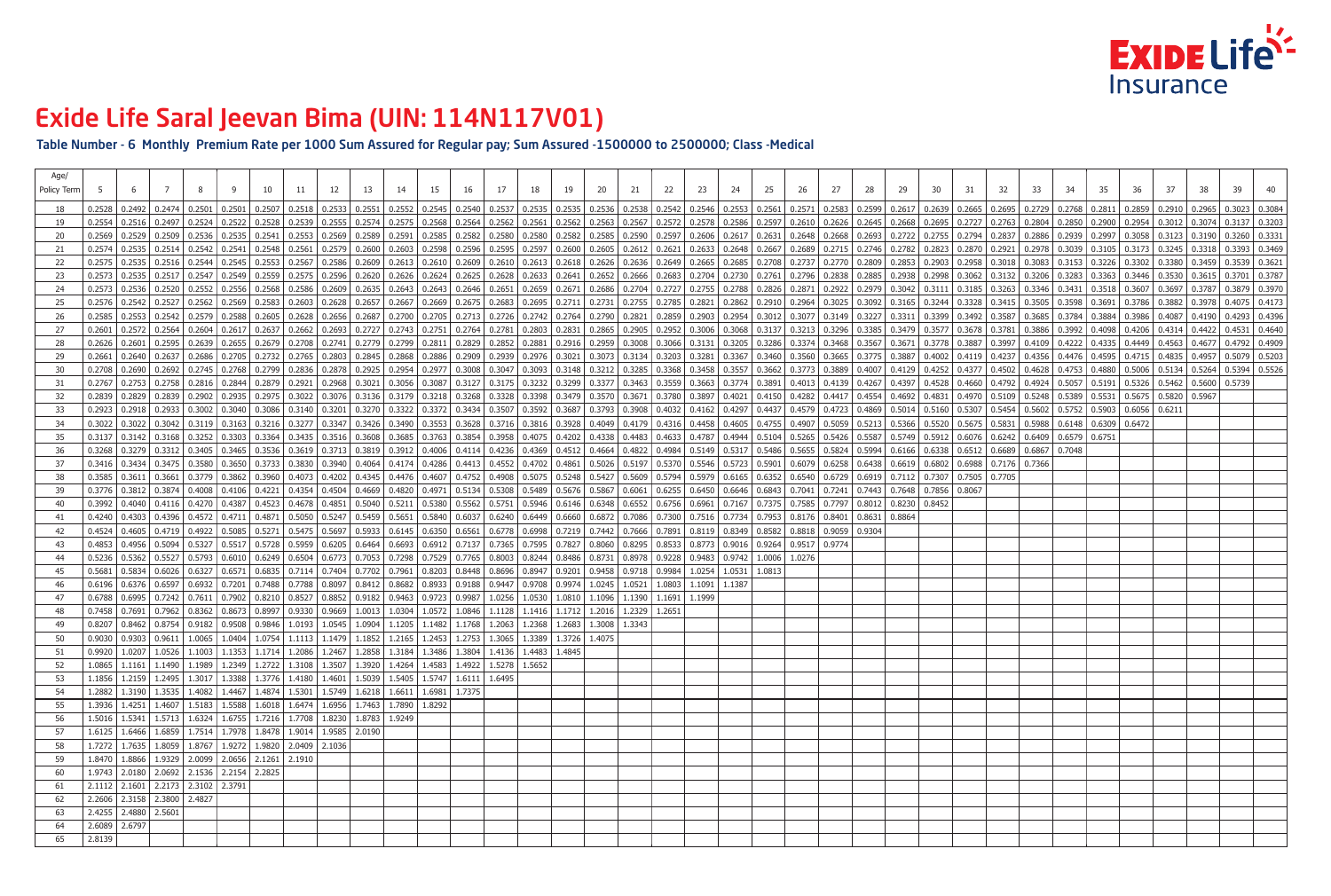Table Number - 6 Monthly Premium Rate per 1000 Sum Assured for Regular pay; Sum Assured -1500000 to 2500000; Class -Medical

| Age/<br>Policy Term |               |                                                     |                  |  |                                                                                         |  |                                                                                                                                                                                                                                 |  |  |  |  |  |  |  |  | 32 | 33. |  |                                              |                                                             |  |
|---------------------|---------------|-----------------------------------------------------|------------------|--|-----------------------------------------------------------------------------------------|--|---------------------------------------------------------------------------------------------------------------------------------------------------------------------------------------------------------------------------------|--|--|--|--|--|--|--|--|----|-----|--|----------------------------------------------|-------------------------------------------------------------|--|
|                     |               |                                                     |                  |  |                                                                                         |  | 0.2328 0.2492 0.2492 0.2501 0.2501 0.2507 0.2518 0.2533 0.2531 0.2552 0.2552 0.2545 0.2540 0.2535 0.2535 0.2535 0.2535 0.2535 0.2535 0.2540 0.2535 0.2546 0.2535 0.2546 0.2535 0.2538 0.2546 0.2553 0.2546 0.2553 0.259 0.2639  |  |  |  |  |  |  |  |  |    |     |  |                                              |                                                             |  |
| 19                  |               |                                                     |                  |  |                                                                                         |  | 0.2524 0.2522 0.2522 0.2528 0.2528 0.2527 0.2528 0.2539 0.2555 0.2555 0.2575 0.2575 0.2568 0.2568 0.2568 0.2568 0.2562 0.2561 0.2562 0.2563 0.2562 0.2562 0.2563 0.2562 0.2563 0.2562 0.2562 0.2572 0.2578 0.2578 0.2610 0.2645 |  |  |  |  |  |  |  |  |    |     |  |                                              |                                                             |  |
| 20                  |               |                                                     |                  |  |                                                                                         |  | 0.2536 0.2536 0.2536 0.2535 0.2541 0.2553 0.2569 0.2569 0.2589 0.2589 0.2581 0.2585 0.2582 0.2580 0.2580 0.2580 0.2589 0.2589 0.2589 0.2582 0.2580 0.2582 0.2589 0.2582 0.2589 0.2585 0.2589 0.2606 0.2617 0.2648 0.2648 0.2648 |  |  |  |  |  |  |  |  |    |     |  |                                              |                                                             |  |
|                     |               |                                                     |                  |  |                                                                                         |  | 0.2535   0.2535   0.2542   0.2542   0.2543   0.2548   0.2561   0.2561   0.2579   0.2600   0.2600   0.2600   0.2598   0.2596   0.2598   0.2598   0.2597   0.2600   0.2597   0.2605   0.2605   0.2605   0.2648   0.2648   0.2648  |  |  |  |  |  |  |  |  |    |     |  |                                              |                                                             |  |
| 22                  |               |                                                     |                  |  |                                                                                         |  | 0.2535   0.2535   0.2536   0.2544   0.2545   0.2553   0.2567   0.2567   0.2568   0.2609   0.2610   0.2610   0.2610   0.2610   0.2610   0.2610   0.2613   0.2613   0.2613   0.2613   0.2613   0.2615   0.2649   0.2685   0.2777  |  |  |  |  |  |  |  |  |    |     |  |                                              |                                                             |  |
| 23                  |               |                                                     |                  |  |                                                                                         |  | 0.2535   0.2535   0.2537   0.2549   0.2549   0.2559   0.2575   0.2575   0.2620   0.2620   0.2626   0.2626   0.2624   0.2625   0.2625   0.2625   0.2625   0.2625   0.2625   0.2625   0.2625   0.2625   0.2626   0.2625   0.2626  |  |  |  |  |  |  |  |  |    |     |  |                                              |                                                             |  |
| -24                 |               |                                                     |                  |  |                                                                                         |  | 0.2573   0.2520   0.2520   0.2552   0.2556   0.2568   0.2586   0.2689   0.2609   0.2635   0.2643   0.2643   0.2643   0.2643   0.2643   0.2646   0.2659   0.2659   0.2672   0.2686   0.2727   0.2788   0.2788   0.2826   0.2871  |  |  |  |  |  |  |  |  |    |     |  |                                              |                                                             |  |
| 25                  |               |                                                     |                  |  |                                                                                         |  | 0.2576 0.2542 0.2527 0.2562 0.2569 0.2583 0.2603 0.2603 0.2628 0.2657 0.2667 0.2667 0.2667 0.2667 0.2669 0.2675 0.2683 0.2695 0.2711 0.2731 0.2785 0.2785 0.2821 0.2862 0.3025 0.3092 0.3165 0.3244 0.3328 0.3415 0.3595 0.3598 |  |  |  |  |  |  |  |  |    |     |  |                                              |                                                             |  |
| 26                  |               |                                                     |                  |  |                                                                                         |  | 0.253   0.2542   0.2542   0.2579   0.2588   0.2605   0.2608   0.2628   0.2626   0.2687   0.2700   0.2700   0.2705   0.2713   0.2726   0.2742   0.2790   0.2790   0.2790   0.2790   0.2790   0.2821   0.2859   0.2954   0.3012   |  |  |  |  |  |  |  |  |    |     |  |                                              |                                                             |  |
| 27                  |               |                                                     |                  |  |                                                                                         |  | 0.2601   0.2572   0.2564   0.2604   0.2617   0.2637   0.2682   0.2682   0.2693   0.2783   0.2783   0.2751   0.2751   0.2783   0.2891   0.289   0.2891   0.2893   0.289   0.289   0.289   0.289   0.2895   0.3006   0.3006   0.3 |  |  |  |  |  |  |  |  |    |     |  |                                              |                                                             |  |
| 28                  |               |                                                     |                  |  |                                                                                         |  | 0.2601   0.2601   0.2695   0.2639   0.2655   0.2675   0.2679   0.2708   0.2741   0.2779   0.2779   0.2879   0.2811   0.2829   0.2881   0.2829   0.2881   0.2916   0.2916   0.2916   0.3008   0.3008   0.3006   0.3131   0.3205  |  |  |  |  |  |  |  |  |    |     |  |                                              |                                                             |  |
| 29                  |               |                                                     |                  |  |                                                                                         |  | 0.2640   0.2637   0.2686   0.2705   0.2732   0.2765   0.2803   0.2803   0.2845   0.2845   0.2866   0.2808   0.2806   0.2909   0.2909   0.2976   0.3021   0.3021   0.3203   0.3281   0.3665   0.3765   0.3775   0.3887   0.400   |  |  |  |  |  |  |  |  |    |     |  |                                              |                                                             |  |
| 30                  | 0.2708        |                                                     |                  |  |                                                                                         |  | 0.2690   0.2692   0.2745   0.2745   0.2799   0.2896   0.2878   0.2878   0.2925   0.2925   0.2977   0.3008   0.2977   0.3008   0.3047   0.3047   0.3285   0.3285   0.3285   0.3773   0.3682   0.3773   0.3889   0.4007   0.4129  |  |  |  |  |  |  |  |  |    |     |  |                                              |                                                             |  |
| 31                  | 0.2767        |                                                     |                  |  |                                                                                         |  | 0.2753   0.2758   0.2816   0.2844   0.2879   0.2921   0.2968   0.3021   0.3056   0.3087   0.3127   0.3127   0.3125   0.3232   0.3232   0.3299   0.3377   0.3463   0.3754   0.3774   0.3891   0.4013   0.4139   0.4139   0.4267  |  |  |  |  |  |  |  |  |    |     |  |                                              | $\vert$ 0.5326 $\vert$ 0.5462 $\vert$ 0.5600 $\vert$ 0.5739 |  |
| 32                  |               | 0.2829                                              | $0.2839$ $\vert$ |  |                                                                                         |  | 0.3288 0.5389 0.3022 0.3022 0.3076 0.3176 0.3179 0.3218 0.3218 0.3288 0.3328 0.3398 0.3479 0.3671 0.3780 0.3897 0.4021 0.4150 0.4282 0.4417 0.4554 0.4692 0.4831 0.4970 0.5109 0.5109 0.5248 0.5389 0.5531                      |  |  |  |  |  |  |  |  |    |     |  | $\vert$ 0.5675 $\vert$ 0.5820 $\vert$ 0.5967 |                                                             |  |
| 33                  | 0.2923        |                                                     |                  |  |                                                                                         |  | 0.2918   0.2933   0.3002   0.3040   0.3086   0.3140   0.3201   0.320   0.3270   0.3322   0.3322   0.3434   0.3507   0.3507   0.3592   0.3687   0.3793   0.3908   0.4032   0.4032   0.4037   0.4437   0.4437   0.4723   0.4869   |  |  |  |  |  |  |  |  |    |     |  |                                              |                                                             |  |
| 34                  |               |                                                     |                  |  |                                                                                         |  | 0.3022   0.3022   0.3042   0.3119   0.3119   0.3216   0.3217   0.3217   0.3347   0.3426   0.3490   0.3553   0.3628   0.3716   0.3916   0.3928   0.4049   0.4179   0.4136   0.4458   0.4605   0.4955   0.4907   0.5059   0.5213  |  |  |  |  |  |  |  |  |    |     |  |                                              |                                                             |  |
| 35                  |               |                                                     |                  |  |                                                                                         |  | 0.3137   0.3142   0.3168   0.3252   0.3303   0.3364   0.3435   0.3435   0.3516   0.3608   0.3608   0.3608   0.3608   0.3608   0.3763   0.3763   0.4075   0.4202   0.4338   0.4483   0.4633   0.4787   0.4944   0.5104   0.5265  |  |  |  |  |  |  |  |  |    |     |  |                                              |                                                             |  |
| 36                  |               |                                                     |                  |  |                                                                                         |  | 0.3279   0.3279   0.3312   0.3405   0.3465   0.3536   0.3513   0.3619   0.3713   0.3819   0.3912   0.4006   0.4114   0.4236   0.4512   0.4654   0.4664   0.4822   0.4884   0.5149   0.512   0.5486   0.5655   0.5824   0.5994   |  |  |  |  |  |  |  |  |    |     |  |                                              |                                                             |  |
| 37                  |               |                                                     |                  |  |                                                                                         |  | 0.3416   0.3434   0.3475   0.3580   0.3650   0.3733   0.3830   0.3940   0.4064   0.4174   0.4286   0.4413   0.4552   0.4702   0.4861   0.5026   0.5197   0.5370   0.5370   0.5723   0.5901   0.6079   0.6258   0.6438   0.6438  |  |  |  |  |  |  |  |  |    |     |  |                                              |                                                             |  |
| 38                  |               |                                                     |                  |  |                                                                                         |  | 0.3585   0.3611   0.3661   0.3779   0.3862   0.3960   0.4073   0.4202   0.4345   0.4476   0.4607   0.4752   0.4908   0.5075   0.5248   0.5427   0.5609   0.5794   0.5799   0.6165   0.6352   0.6352   0.6729   0.6799   0.7102  |  |  |  |  |  |  |  |  |    |     |  |                                              |                                                             |  |
| -39                 | 0.3776        |                                                     |                  |  |                                                                                         |  | 0.7856   0.7241 0.4106   0.4106   0.4221   0.4354   0.4504   0.4669   0.4820   0.4971   0.5134   0.5308   0.5489   0.5676   0.5867   0.6061   0.6255   0.6456   0.6450   0.6843   0.7041   0.7241   0.7443   0.7648   0.7856    |  |  |  |  |  |  |  |  |    |     |  |                                              |                                                             |  |
| 40                  |               |                                                     |                  |  |                                                                                         |  | 0.3992   0.4040   0.4116   0.4270   0.4387   0.4523   0.4678   0.4678   0.5040   0.5211   0.5380   0.5562   0.5751   0.5946   0.6146   0.6348   0.6352   0.6756   0.6961   0.7167   0.7375   0.7585   0.7797   0.8012   0.8230  |  |  |  |  |  |  |  |  |    |     |  |                                              |                                                             |  |
| -41                 |               |                                                     |                  |  |                                                                                         |  | 0.4303 0.4303 0.4396 0.4396 0.4572 0.4711 0.4871 0.5050 0.5247 0.5459 0.5651 0.5840 0.6037 0.6240 0.6449 0.6660 0.6872 0.7086 0.7300 0.7516 0.7734 0.7953 0.8176 0.8401 0.8664 0.8864                                           |  |  |  |  |  |  |  |  |    |     |  |                                              |                                                             |  |
| -42                 |               |                                                     |                  |  |                                                                                         |  | 0.4524   0.4605   0.4719   0.4922   0.5085   0.5271   0.5475   0.5697   0.5933   0.6145   0.6350   0.6561   0.6778   0.6998   0.7219   0.7442   0.7666   0.7891   0.8119   0.8149   0.8582   0.8582   0.8018   0.9059   0.9304  |  |  |  |  |  |  |  |  |    |     |  |                                              |                                                             |  |
| 43                  |               |                                                     |                  |  |                                                                                         |  | 0.4853   0.4956   0.5094   0.5327   0.5517   0.5728   0.5959   0.6205   0.6464   0.6693   0.6912   0.7137   0.7365   0.7595   0.7827   0.8060   0.8295   0.8533   0.8773   0.9016   0.9264   0.9517   0.9774                    |  |  |  |  |  |  |  |  |    |     |  |                                              |                                                             |  |
|                     |               |                                                     |                  |  |                                                                                         |  | 0.5236   0.5362   0.5527   0.5793   0.6010   0.6249   0.6504   0.6773   0.7053   0.7298   0.7529   0.7765   0.8003   0.8244   0.8486   0.8731   0.8978   0.9228   0.9483   0.9742   1.0006   1.0276                             |  |  |  |  |  |  |  |  |    |     |  |                                              |                                                             |  |
| 45                  |               |                                                     |                  |  |                                                                                         |  | 0.5834 0.6026 0.6327 0.6571 0.6835 0.7114 0.7404 0.7702 0.7961 0.8203 0.8448 0.8696 0.8947 0.9201 0.9458 0.9718 0.9984 1.0254 1.0531 1.0813                                                                                     |  |  |  |  |  |  |  |  |    |     |  |                                              |                                                             |  |
|                     |               |                                                     |                  |  |                                                                                         |  | 0.6196   0.6376   0.6597   0.6932   0.7201   0.7488   0.7788   0.8097   0.8412   0.8682   0.8933   0.9188   0.9447   0.9708   0.9974   1.0245   1.0521   1.0803   1.1091   1.1387                                               |  |  |  |  |  |  |  |  |    |     |  |                                              |                                                             |  |
| 47                  |               |                                                     |                  |  |                                                                                         |  | 0.6788 0.6995 0.7242 0.7611 0.7902 0.8210 0.8527 0.8852 0.9182 0.9463 0.9723 0.9987 1.0256 1.0530 1.0810 1.1096 1.1390 1.1691 1.1999                                                                                            |  |  |  |  |  |  |  |  |    |     |  |                                              |                                                             |  |
|                     |               |                                                     |                  |  |                                                                                         |  | 0.7458 0.7691 0.7962 0.8362 0.8673 0.8997 0.9330 0.9669 1.0013 1.0304 1.0572 1.0846 1.1128 1.1416 1.1712 1.2016 1.2329 1.2651                                                                                                   |  |  |  |  |  |  |  |  |    |     |  |                                              |                                                             |  |
|                     |               |                                                     |                  |  |                                                                                         |  | 0.8207 0.8462 0.8754 0.9182 0.9508 0.9846 1.0193 1.0545 1.0904 1.1205 1.1482 1.1768 1.2063 1.2368 1.2683 1.3008 1.3343                                                                                                          |  |  |  |  |  |  |  |  |    |     |  |                                              |                                                             |  |
| 50                  |               |                                                     |                  |  |                                                                                         |  | $0.9030$   $0.9303$   $0.9611$   $1.0065$   $1.0404$   $1.0754$   $1.1113$   $1.1479$   $1.1852$   $1.2165$   $1.2453$   $1.2753$   $1.3065$   $1.3389$   $1.3726$   $1.4075$                                                   |  |  |  |  |  |  |  |  |    |     |  |                                              |                                                             |  |
| 51                  |               |                                                     |                  |  |                                                                                         |  | 0.9920 1.0207 1.0526 1.1003 1.1353 1.1714 1.2086 1.2467 1.2858 1.3184 1.3486 1.3804 1.4136 1.4483 1.4845                                                                                                                        |  |  |  |  |  |  |  |  |    |     |  |                                              |                                                             |  |
| 52                  |               |                                                     |                  |  |                                                                                         |  | 1.0865   1.1161   1.1490   1.1989   1.2349   1.2722   1.3108   1.3507   1.3920   1.4264   1.4583   1.4922   1.5278   1.5652                                                                                                     |  |  |  |  |  |  |  |  |    |     |  |                                              |                                                             |  |
| 53                  |               |                                                     |                  |  |                                                                                         |  | 1.1856   1.2159   1.2495   1.3017   1.3388   1.3776   1.4180   1.4601   1.5039   1.5405   1.5747   1.6111   1.6495                                                                                                              |  |  |  |  |  |  |  |  |    |     |  |                                              |                                                             |  |
| 54                  |               |                                                     |                  |  |                                                                                         |  | 1.2882 1.3190 1.3535 1.4082 1.4467 1.4874 1.5301 1.5749 1.6218 1.6611 1.6981 1.7375                                                                                                                                             |  |  |  |  |  |  |  |  |    |     |  |                                              |                                                             |  |
| 55                  |               |                                                     |                  |  |                                                                                         |  | 1.3936   1.4251   1.4607   1.5183   1.5588   1.6018   1.6474   1.6956   1.7463   1.7890   1.8292                                                                                                                                |  |  |  |  |  |  |  |  |    |     |  |                                              |                                                             |  |
| 56                  |               |                                                     |                  |  | 1.5016   1.5341   1.5713   1.6324   1.6755   1.7216   1.7708   1.8230   1.8783   1.9249 |  |                                                                                                                                                                                                                                 |  |  |  |  |  |  |  |  |    |     |  |                                              |                                                             |  |
| 57                  |               |                                                     |                  |  | 1.6125   1.6466   1.6859   1.7514   1.7978   1.8478   1.9014   1.9585   2.0190          |  |                                                                                                                                                                                                                                 |  |  |  |  |  |  |  |  |    |     |  |                                              |                                                             |  |
| 58                  |               |                                                     |                  |  | 1.7272   1.7635   1.8059   1.8767   1.9272   1.9820   2.0409   2.1036                   |  |                                                                                                                                                                                                                                 |  |  |  |  |  |  |  |  |    |     |  |                                              |                                                             |  |
| 59                  |               |                                                     |                  |  | 1.8470   1.8866   1.9329   2.0099   2.0656   2.1261   2.1910                            |  |                                                                                                                                                                                                                                 |  |  |  |  |  |  |  |  |    |     |  |                                              |                                                             |  |
|                     |               | 1.9743   2.0180   2.0692   2.1536   2.2154   2.2825 |                  |  |                                                                                         |  |                                                                                                                                                                                                                                 |  |  |  |  |  |  |  |  |    |     |  |                                              |                                                             |  |
| 61                  |               | 2.1112 2.1601 2.2173 2.3102 2.3791                  |                  |  |                                                                                         |  |                                                                                                                                                                                                                                 |  |  |  |  |  |  |  |  |    |     |  |                                              |                                                             |  |
|                     |               | 2.2606 2.3158 2.3800 2.4827                         |                  |  |                                                                                         |  |                                                                                                                                                                                                                                 |  |  |  |  |  |  |  |  |    |     |  |                                              |                                                             |  |
| 63                  |               | 2.4255 2.4880 2.5601                                |                  |  |                                                                                         |  |                                                                                                                                                                                                                                 |  |  |  |  |  |  |  |  |    |     |  |                                              |                                                             |  |
| 64                  | 2.6089 2.6797 |                                                     |                  |  |                                                                                         |  |                                                                                                                                                                                                                                 |  |  |  |  |  |  |  |  |    |     |  |                                              |                                                             |  |
| 65                  | 2.8139        |                                                     |                  |  |                                                                                         |  |                                                                                                                                                                                                                                 |  |  |  |  |  |  |  |  |    |     |  |                                              |                                                             |  |
|                     |               |                                                     |                  |  |                                                                                         |  |                                                                                                                                                                                                                                 |  |  |  |  |  |  |  |  |    |     |  |                                              |                                                             |  |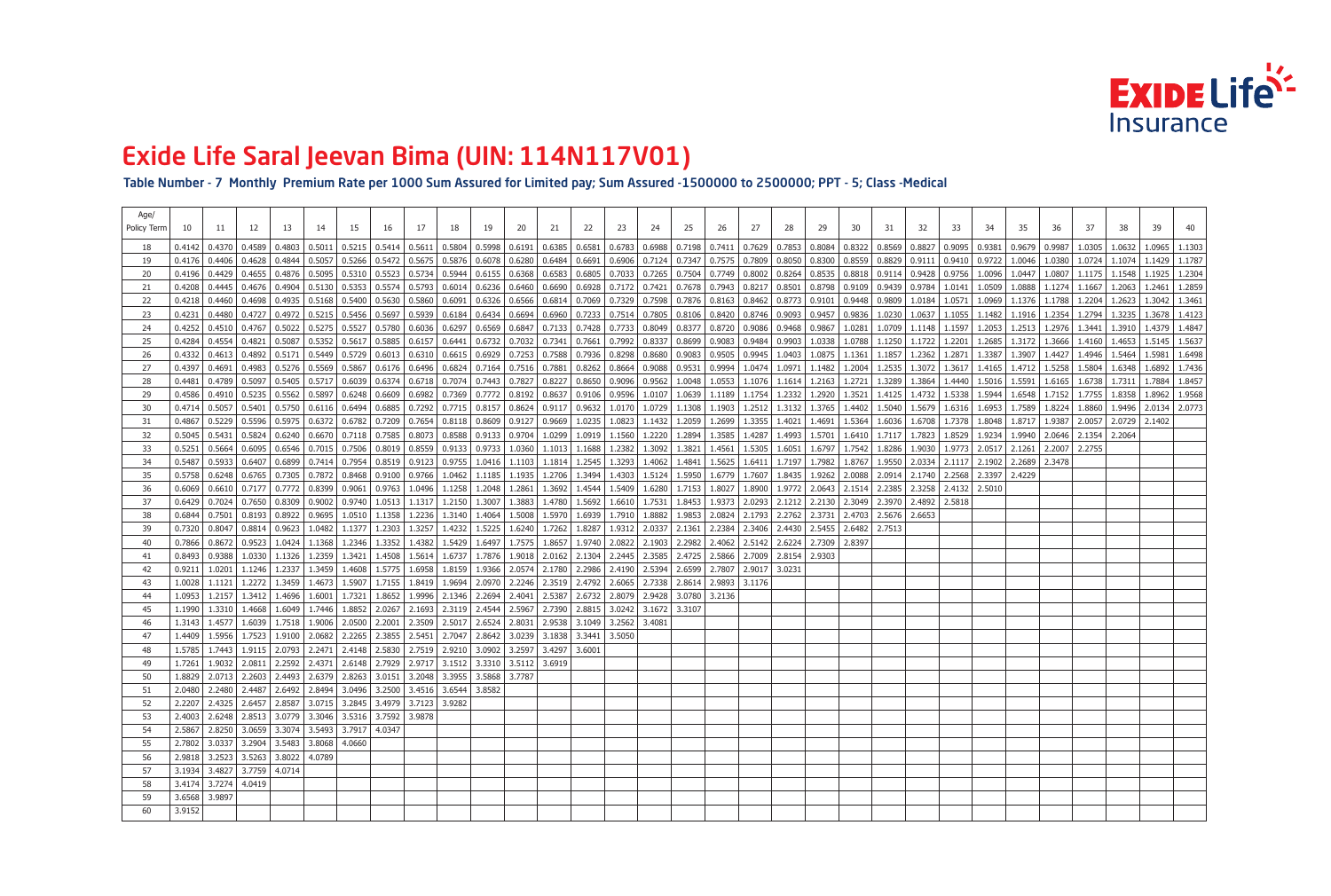Table Number - 7 Monthly Premium Rate per 1000 Sum Assured for Limited pay; Sum Assured -1500000 to 2500000; PPT - 5; Class -Medical

| Age/        |        |                                                                                |                     |        |                                |                                |                 |                                       |                                                   |                                                                                                                                                                                                                                                          |    |                   |                                                      |                                   |                                                                                           |        |        |                                          |                            |        |                                                         |        |                                                                |                 |                          |        |                   |                   |        |                   |        |
|-------------|--------|--------------------------------------------------------------------------------|---------------------|--------|--------------------------------|--------------------------------|-----------------|---------------------------------------|---------------------------------------------------|----------------------------------------------------------------------------------------------------------------------------------------------------------------------------------------------------------------------------------------------------------|----|-------------------|------------------------------------------------------|-----------------------------------|-------------------------------------------------------------------------------------------|--------|--------|------------------------------------------|----------------------------|--------|---------------------------------------------------------|--------|----------------------------------------------------------------|-----------------|--------------------------|--------|-------------------|-------------------|--------|-------------------|--------|
| Policy Term |        |                                                                                | 12.                 | 13     |                                | 15                             | 16              | 17                                    | 18                                                | 19                                                                                                                                                                                                                                                       | 20 |                   | 22                                                   | 23                                | 24                                                                                        | 25     | 26     |                                          | 28                         | 29     | 30                                                      | 31     | 32                                                             | 33              |                          | 35     | 36                |                   | 38     | 39                |        |
|             | 0.4142 | 0.4370                                                                         | 0.4589              | 0.4803 | 0.5011                         | 0.5215                         |                 | $\mid 0.5414 \mid 0.5611 \mid$        | 0.5804                                            | $0.5998$   $0.6191$   $0.6385$   $0.6581$                                                                                                                                                                                                                |    |                   |                                                      |                                   | $0.6783$   $0.6988$   $0.7198$   $0.7411$   $0.7629$   $0.7853$                           |        |        |                                          |                            |        | $\mid$ 0.8084 $\mid$ 0.8322 $\mid$ 0.8569 $\mid$        |        | $0.8827$   0.9095   0.9381                                     |                 |                          | 0.9679 | 0.9987            | 1.0305            | 1.0632 | 1.0965            | 1.1303 |
| 19          | 0.4176 | 0.4406                                                                         | 0.4628              |        | $0.4844$   0.5057   0.5266     |                                |                 | $\vert$ 0.5472 $\vert$ 0.5675 $\vert$ | 0.5876                                            | $0.6078$   0.6280   0.6484   0.6691                                                                                                                                                                                                                      |    |                   |                                                      |                                   | $\mid 0.6906 \mid 0.7124 \mid 0.7347 \mid$                                                |        |        | $0.7575$   0.7809   0.8050               |                            |        |                                                         |        | $0.8300$   0.8559   0.8829   0.9111   0.9410   0.9722   1.0046 |                 |                          |        | 1.0380            | 1.0724            | 1.1074 | 1.1429            | 1.1787 |
| -20         | 0.4196 | 0.4429   0.4655                                                                |                     |        |                                |                                |                 |                                       |                                                   | $0.4876$ $\mid$ $0.5095$ $\mid$ $0.5310$ $\mid$ $0.5523$ $\mid$ $0.5734$ $\mid$ $0.5944$ $\mid$ $0.6155$ $\mid$ $0.6368$ $\mid$ $0.6583$ $\mid$ $0.6805$ $\mid$ $0.7033$ $\mid$ $0.7265$ $\mid$ $0.7504$ $\mid$ $0.7749$ $\mid$ $0.8002$ $\mid$ $0.8264$ |    |                   |                                                      |                                   |                                                                                           |        |        |                                          |                            |        |                                                         |        | 0.8535   0.8818   0.9114   0.9428   0.9756   1.0096   1.0447   |                 |                          |        | 1.0807            | $1.1175$   1.1548 |        | 1.1925            | 1.2304 |
|             | 0.4208 |                                                                                | $0.4445$   $0.4676$ |        | $0.4904$   $0.5130$   0.5353   |                                | $0.5574$ 0.5793 |                                       |                                                   | $0.6014$ $0.6236$ $0.6460$ $0.6690$ $0.6928$ $0.7172$ $0.7421$ $0.7678$ $0.7943$ $0.8217$ $0.8501$                                                                                                                                                       |    |                   |                                                      |                                   |                                                                                           |        |        |                                          |                            |        | $\mid$ 0.8798 $\mid$ 0.9109 $\mid$ 0.9439 $\mid$ 0.9784 |        |                                                                |                 | 1.0141 1.0509 1.0888     |        | 1.1274            | 1.1667            | 1.2063 | 1.2461            | 1.2859 |
|             | 0.4218 | 0.4460                                                                         | 0.4698              |        | $0.4935$   $0.5168$   $0.5400$ |                                |                 |                                       | 0.5630   0.5860   0.6091                          |                                                                                                                                                                                                                                                          |    |                   |                                                      |                                   | $0.6326$   0.6566   0.6814   0.7069   0.7329   0.7598   0.7876   0.8163   0.8462   0.8773 |        |        |                                          |                            |        | 0.9101   0.9448   0.9809                                |        | 1.0184                                                         |                 | 1.0571 1.0969            | 1.1376 | 1.1788 1.2204     |                   | 1.2623 | 1.3042            | 1.3461 |
| 23          | 0.4231 | 0.4480                                                                         | 0.4727              |        | $0.4972$   $0.5215$   $0.5456$ |                                |                 |                                       | $\mid 0.5697 \mid 0.5939 \mid 0.6184 \mid 0.6434$ |                                                                                                                                                                                                                                                          |    |                   |                                                      |                                   | 0.6694   0.6960   0.7233   0.7514   0.7805   0.8106                                       |        |        | $0.8420$   0.8746   0.9093               |                            |        | $\mid 0.9457 \mid 0.9836 \mid 1.0230 \mid$              |        | $1.0637$   1.1055   1.1482   1.1916                            |                 |                          |        |                   | 1.2354 1.2794     | 1.3235 | $1.3678$   1.4123 |        |
|             | 0.4252 | 0.4510                                                                         | 0.4767              | 0.5022 | $0.5275$ $0.5527$              |                                |                 |                                       |                                                   | 0.5780   0.6036   0.6297   0.6569   0.6847   0.7133   0.7428   0.7733   0.8049   0.8377   0.8720   0.9086   0.9468                                                                                                                                       |    |                   |                                                      |                                   |                                                                                           |        |        |                                          |                            |        | $\vert 0.9867 \vert 1.0281$                             | 1.0709 | $1.1148$   1.1597   1.2053   1.2513                            |                 |                          |        | 1.2976 1.3441     |                   | 1.3910 | 1.4379 1.4847     |        |
|             | 0.4284 | 0.4554                                                                         | 0.4821              | 0.5087 | 0.5352   0.5617                |                                |                 | $0.5885$ 0.6157                       | 0.6441                                            | $0.6732$   0.7032   0.7341   0.7661                                                                                                                                                                                                                      |    |                   |                                                      |                                   | 0.7992   0.8337                                                                           | 0.8699 |        | 0.9083   0.9484   0.9903                 |                            |        | $1.0338$   1.0788                                       | 1.1250 | 1.1722                                                         | 1.2201          | 1.2685   1.3172          |        |                   | 1.3666 1.4160     | 1.4653 | 1.5145            | 1.5637 |
|             | 0.4332 | 0.4613                                                                         | $ 0.4892\rangle$    |        |                                | $0.5171$   0.5449   0.5729     |                 |                                       |                                                   | $\mid 0.6013 \mid 0.6310 \mid 0.6615 \mid 0.6929 \mid 0.7253 \mid 0.7588 \mid 0.7936 \mid 0.8298 \mid 0.8680 \mid 0.9083 \mid$                                                                                                                           |    |                   |                                                      |                                   |                                                                                           |        |        | $\vert 0.9505 \vert 0.9945 \vert 1.0403$ |                            |        | $1.0875$   1.1361   1.1857                              |        | 1.2362   1.2871   1.3387   1.3907                              |                 |                          |        | 1.4427            | 1.4946            | 1.5464 | 1.5981            | 1.6498 |
|             | 0.4397 | 0.4691                                                                         | 0.4983              |        | $0.5276$   0.5569   0.5867     |                                |                 |                                       |                                                   | $0.6176$   $0.6496$   $0.6824$   $0.7164$   $0.7516$   $0.7881$   $0.8262$   $0.8664$   $0.9088$   $0.9531$                                                                                                                                              |    |                   |                                                      |                                   |                                                                                           |        | 0.9994 | 1.0474 1.0971                            |                            |        | $1.1482$   1.2004   1.2535                              |        | 1.3072   1.3617   1.4165   1.4712                              |                 |                          |        | $1.5258$ 1.5804   |                   | 1.6348 | 1.6892            | 1.7436 |
|             | 0.4481 | 0.4789                                                                         | 0.5097              |        | $0.5405$   $0.5717$   $0.6039$ |                                |                 |                                       |                                                   | $0.6374$   0.6718   0.7074   0.7443   0.7827   0.8227   0.8650   0.9096   0.9562   1.0048                                                                                                                                                                |    |                   |                                                      |                                   |                                                                                           |        |        |                                          | $1.0553$   1.1076   1.1614 |        | $1.2163$   1.2721   1.3289                              |        | 1.3864                                                         |                 | 1.4440   1.5016   1.5591 |        | $1.6165$   1.6738 |                   | 1.7311 | 1.7884            | 1.8457 |
|             | 0.4586 | 0.4910                                                                         | 0.5235              | 0.5562 | $\vert 0.5897 \vert 0.6248$    |                                |                 |                                       | $0.6609$   0.6982   0.7369   0.7772               |                                                                                                                                                                                                                                                          |    |                   |                                                      |                                   | 0.8192   0.8637   0.9106   0.9596   1.0107   1.0639                                       |        |        | 1.1189   1.1754   1.2332                 |                            |        | $1.2920$   1.3521   1.4125                              |        | 1.4732                                                         |                 | $1.5338$   1.5944        | 1.6548 | 1.7152 1.7755     |                   | 1.8358 | 1.8962            | 1.9568 |
|             | 0.4714 | 0.5057                                                                         | 0.5401              | 0.5750 | 0.6116                         | 0.6494                         | 0.6885          | 0.7292                                |                                                   | $0.7715$ 0.8157                                                                                                                                                                                                                                          |    |                   | $\vert$ 0.8624 0.9117 0.9632                         |                                   | $1.0170$   1.0729   1.1308                                                                |        | 1.1903 |                                          | $1.2512$ 1.3132            |        | $1.3765$   1.4402                                       | 1.5040 | 1.5679                                                         | $1.6316$ 1.6953 |                          | 1.7589 | 1.8224            | 1.8860            | 1.9496 | 2.0134            | 2.0773 |
|             | 0.4867 | 0.5229                                                                         | 0.5596              | 0.5975 | $0.6372$ 0.6782                |                                | 0.7209          | 0.7654                                | 0.8118                                            | 0.8609                                                                                                                                                                                                                                                   |    |                   | $\vert$ 0.9127 $\vert$ 0.9669 $\vert$ 1.0235 $\vert$ |                                   | $1.0823$   1.1432                                                                         | 1.2059 | 1.2699 | 1.3355 1.4021                            |                            | 1.4691 | $1.5364$   1.6036                                       |        | 1.6708   1.7378   1.8048   1.8717                              |                 |                          |        | 1.9387            | 2.0057            | 2.0729 | 2.1402            |        |
| 32          | 0.5045 | 0.5431                                                                         | 0.5824              | 0.6240 |                                | $\mid 0.6670 \mid 0.7118 \mid$ | $0.7585$ 0.8073 |                                       | 0.8588                                            |                                                                                                                                                                                                                                                          |    |                   |                                                      |                                   | $0.9133   0.9704   1.0299   1.0919   1.1560   1.2220  $                                   | 1.2894 | 1.3585 |                                          | 1.4287 1.4993              | 1.5701 | $1.6410$   1.7117                                       |        | 1.7823   1.8529   1.9234   1.9940                              |                 |                          |        | 2.0646            | 2.1354            | 2.2064 |                   |        |
|             | 0.5251 | 0.5664                                                                         | 0.6095              |        | $0.6546$   0.7015   0.7506     |                                |                 |                                       |                                                   | $0.8019$   0.8559   0.9133   0.9733                                                                                                                                                                                                                      |    |                   |                                                      |                                   | 1.0360   1.1013   1.1688   1.2382   1.3092   1.3821                                       |        | 1.4561 | 1.5305 1.6051                            |                            |        | 1.6797   1.7542   1.8286                                |        | 1.9030   1.9773   2.0517   2.1261   2.2007   2.2755            |                 |                          |        |                   |                   |        |                   |        |
|             | 0.5487 | 0.5933                                                                         | 0.6407              | 0.6899 | 0.7414                         | 0.7954                         |                 |                                       | $0.8519$ 0.9123 0.9755                            |                                                                                                                                                                                                                                                          |    |                   |                                                      |                                   | 1.0416   1.1103   1.1814   1.2545   1.3293   1.4062   1.4841                              |        | 1.5625 | 1.6411                                   | 1.7197                     |        | 1.7982 1.8767                                           | 1.9550 | 2.0334                                                         |                 | $2.1117$ 2.1902          | 2.2689 | 2.3478            |                   |        |                   |        |
|             |        | $0.5758$   0.6248                                                              | 0.6765              | 0.7305 | 0.7872                         | 0.8468                         |                 | 0.9100   0.9766                       | 1.0462                                            |                                                                                                                                                                                                                                                          |    |                   |                                                      |                                   | $1.1185$   1.1935   1.2706   1.3494   1.4303   1.5124                                     | 1.5950 | 1.6779 | 1.7607                                   | 1.8435                     |        |                                                         |        | 1.9262   2.0088   2.0914   2.1740   2.2568   2.3397   2.4229   |                 |                          |        |                   |                   |        |                   |        |
|             | 0.6069 | 0.6610                                                                         | 0.7177              | 0.7772 | 0.8399                         | 0.9061                         | 0.9763          | 1.0496                                | 1.1258                                            | 1.2048                                                                                                                                                                                                                                                   |    |                   | $1.2861$   1.3692   1.4544                           |                                   | $1.5409$   $1.6280$   $1.7153$                                                            |        | 1.8027 | 1.8900                                   | 1.9772                     |        | $2.0643$ 2.1514                                         | 2.2385 | 2.3258                                                         | $2.4132$ 2.5010 |                          |        |                   |                   |        |                   |        |
| 37          | 0.6429 | 0.7024                                                                         | 0.7650              | 0.8309 | 0.9002                         | 0.9740                         | 1.0513          | 1.1317                                | 1.2150                                            | 1.3007                                                                                                                                                                                                                                                   |    |                   |                                                      |                                   | 1.3883   1.4780   1.5692   1.6610   1.7531                                                | 1.8453 | 1.9373 | 2.0293                                   | 2.1212                     |        | $2.2130$   2.3049                                       | 2.3970 | 2.4892                                                         | 2.5818          |                          |        |                   |                   |        |                   |        |
|             | 0.6844 | 0.7501                                                                         | 0.8193              | 0.8922 | 0.9695                         | 1.0510                         | 1.1358          | 1.2236                                | 1.3140                                            | 1.4064                                                                                                                                                                                                                                                   |    | $1.5008$   1.5970 | 1.6939                                               |                                   | $1.7910$   1.8882                                                                         | 1.9853 | 2.0824 | 2.1793                                   | 2.2762                     | 2.3731 | 2.4703                                                  | 2.5676 | 2.6653                                                         |                 |                          |        |                   |                   |        |                   |        |
|             | 0.7320 | 0.8047                                                                         | 0.8814              | 0.9623 | 1.0482                         | 1.1377                         | 1.2303          | 1.3257                                | 1.4232                                            | 1.5225                                                                                                                                                                                                                                                   |    |                   | 1.6240   1.7262   1.8287                             |                                   | 1.9312   2.0337   2.1361                                                                  |        | 2.2384 | 2.3406                                   | 2.4430                     |        | 2.5455 2.6482                                           | 2.7513 |                                                                |                 |                          |        |                   |                   |        |                   |        |
|             | 0.7866 | 0.8672                                                                         | 0.9523              | 1.0424 | 1.1368                         | 1.2346                         | 1.3352          | 1.4382                                | 1.5429                                            | 1.6497                                                                                                                                                                                                                                                   |    |                   |                                                      | 1.7575   1.8657   1.9740   2.0822 | 2.1903                                                                                    | 2.2982 | 2.4062 | 2.5142 2.6224                            |                            |        | 2.7309 2.8397                                           |        |                                                                |                 |                          |        |                   |                   |        |                   |        |
|             | 0.8493 | 0.9388                                                                         | 1.0330              | 1.1326 | 1.2359                         | 1.3421                         |                 | $1.4508$   1.5614                     | 1.6737                                            | 1.7876                                                                                                                                                                                                                                                   |    |                   |                                                      |                                   | 1.9018   2.0162   2.1304   2.2445   2.3585   2.4725                                       |        | 2.5866 | 2.7009                                   | 2.8154                     | 2.9303 |                                                         |        |                                                                |                 |                          |        |                   |                   |        |                   |        |
|             | 0.9211 | 1.0201                                                                         | 1.1246              | 1.2337 | 1.3459                         | 1.4608                         | 1.5775          | 1.6958                                | 1.8159                                            | 1.9366                                                                                                                                                                                                                                                   |    |                   |                                                      |                                   | 2.0574 2.1780 2.2986 2.4190 2.5394 2.6599                                                 |        | 2.7807 | 2.9017                                   | 3.0231                     |        |                                                         |        |                                                                |                 |                          |        |                   |                   |        |                   |        |
|             | 1.0028 | 1.1121                                                                         | 1.2272              | 1.3459 | 1.4673                         | 1.5907                         | 1.7155          | 1.8419                                | 1.9694                                            | 2.0970                                                                                                                                                                                                                                                   |    |                   |                                                      | 2.2246   2.3519   2.4792   2.6065 | 2.7338                                                                                    | 2.8614 | 2.9893 | 3.1176                                   |                            |        |                                                         |        |                                                                |                 |                          |        |                   |                   |        |                   |        |
|             |        | $1.0953$   1.2157   1.3412                                                     |                     | 1.4696 | 1.6001                         | 1.7321                         | 1.8652          |                                       | $1.9996$ 2.1346                                   |                                                                                                                                                                                                                                                          |    |                   |                                                      |                                   | 2.2694   2.4041   2.5387   2.6732   2.8079   2.9428   3.0780                              |        | 3.2136 |                                          |                            |        |                                                         |        |                                                                |                 |                          |        |                   |                   |        |                   |        |
|             |        |                                                                                |                     |        |                                |                                |                 |                                       |                                                   | 1.1990   1.3310   1.4668   1.6049   1.7446   1.8852   2.0267   2.1693   2.3119   2.4544   2.5967   2.7390   2.8815   3.0242   3.1672   3.3107                                                                                                            |    |                   |                                                      |                                   |                                                                                           |        |        |                                          |                            |        |                                                         |        |                                                                |                 |                          |        |                   |                   |        |                   |        |
|             |        |                                                                                |                     |        |                                |                                |                 |                                       |                                                   | 1.3143   1.4577   1.6039   1.7518   1.9006   2.0500   2.2001   2.3509   2.5017   2.6524   2.8031   2.9538   3.1049   3.2562   3.4081                                                                                                                     |    |                   |                                                      |                                   |                                                                                           |        |        |                                          |                            |        |                                                         |        |                                                                |                 |                          |        |                   |                   |        |                   |        |
| -47         |        |                                                                                |                     |        |                                |                                |                 |                                       |                                                   | 1.4409 1.5956 1.7523 1.9100 2.0682 2.2265 2.3855 2.5451 2.7047 2.8642 3.0239 3.1838 3.3441 3.5050                                                                                                                                                        |    |                   |                                                      |                                   |                                                                                           |        |        |                                          |                            |        |                                                         |        |                                                                |                 |                          |        |                   |                   |        |                   |        |
|             |        |                                                                                |                     |        |                                |                                |                 |                                       |                                                   | 1.5785 1.7443 1.9115 2.0793 2.2471 2.4148 2.5830 2.7519 2.9210 3.0902 3.2597 3.4297 3.6001                                                                                                                                                               |    |                   |                                                      |                                   |                                                                                           |        |        |                                          |                            |        |                                                         |        |                                                                |                 |                          |        |                   |                   |        |                   |        |
|             |        |                                                                                |                     |        |                                |                                |                 |                                       |                                                   | 1.7261   1.9032   2.0811   2.2592   2.4371   2.6148   2.7929   2.9717   3.1512   3.3310   3.5112   3.6919                                                                                                                                                |    |                   |                                                      |                                   |                                                                                           |        |        |                                          |                            |        |                                                         |        |                                                                |                 |                          |        |                   |                   |        |                   |        |
| 50          |        |                                                                                |                     |        |                                |                                |                 |                                       |                                                   | 1.8829 2.0713 2.2603 2.4493 2.6379 2.8263 3.0151 3.2048 3.3955 3.5868 3.7787                                                                                                                                                                             |    |                   |                                                      |                                   |                                                                                           |        |        |                                          |                            |        |                                                         |        |                                                                |                 |                          |        |                   |                   |        |                   |        |
| 51          |        | 2.0480 2.2480 2.4487 2.6492 2.8494 3.0496 3.2500 3.4516 3.6544 3.8582          |                     |        |                                |                                |                 |                                       |                                                   |                                                                                                                                                                                                                                                          |    |                   |                                                      |                                   |                                                                                           |        |        |                                          |                            |        |                                                         |        |                                                                |                 |                          |        |                   |                   |        |                   |        |
| 52          |        | 2.2207   2.4325   2.6457   2.8587   3.0715   3.2845   3.4979   3.7123   3.9282 |                     |        |                                |                                |                 |                                       |                                                   |                                                                                                                                                                                                                                                          |    |                   |                                                      |                                   |                                                                                           |        |        |                                          |                            |        |                                                         |        |                                                                |                 |                          |        |                   |                   |        |                   |        |
|             |        | 2.4003   2.6248   2.8513   3.0779   3.3046   3.5316   3.7592   3.9878          |                     |        |                                |                                |                 |                                       |                                                   |                                                                                                                                                                                                                                                          |    |                   |                                                      |                                   |                                                                                           |        |        |                                          |                            |        |                                                         |        |                                                                |                 |                          |        |                   |                   |        |                   |        |
|             |        | 2.5867   2.8250   3.0659   3.3074   3.5493   3.7917   4.0347                   |                     |        |                                |                                |                 |                                       |                                                   |                                                                                                                                                                                                                                                          |    |                   |                                                      |                                   |                                                                                           |        |        |                                          |                            |        |                                                         |        |                                                                |                 |                          |        |                   |                   |        |                   |        |
| 55          |        | 2.7802 3.0337 3.2904 3.5483 3.8068 4.0660                                      |                     |        |                                |                                |                 |                                       |                                                   |                                                                                                                                                                                                                                                          |    |                   |                                                      |                                   |                                                                                           |        |        |                                          |                            |        |                                                         |        |                                                                |                 |                          |        |                   |                   |        |                   |        |
|             |        | 2.9818 3.2523 3.5263 3.8022 4.0789                                             |                     |        |                                |                                |                 |                                       |                                                   |                                                                                                                                                                                                                                                          |    |                   |                                                      |                                   |                                                                                           |        |        |                                          |                            |        |                                                         |        |                                                                |                 |                          |        |                   |                   |        |                   |        |
| 57          |        | 3.1934 3.4827 3.7759 4.0714                                                    |                     |        |                                |                                |                 |                                       |                                                   |                                                                                                                                                                                                                                                          |    |                   |                                                      |                                   |                                                                                           |        |        |                                          |                            |        |                                                         |        |                                                                |                 |                          |        |                   |                   |        |                   |        |
|             |        | $3.4174$ 3.7274 4.0419                                                         |                     |        |                                |                                |                 |                                       |                                                   |                                                                                                                                                                                                                                                          |    |                   |                                                      |                                   |                                                                                           |        |        |                                          |                            |        |                                                         |        |                                                                |                 |                          |        |                   |                   |        |                   |        |
| 59          |        | 3.6568 3.9897                                                                  |                     |        |                                |                                |                 |                                       |                                                   |                                                                                                                                                                                                                                                          |    |                   |                                                      |                                   |                                                                                           |        |        |                                          |                            |        |                                                         |        |                                                                |                 |                          |        |                   |                   |        |                   |        |
| 60          | 3.9152 |                                                                                |                     |        |                                |                                |                 |                                       |                                                   |                                                                                                                                                                                                                                                          |    |                   |                                                      |                                   |                                                                                           |        |        |                                          |                            |        |                                                         |        |                                                                |                 |                          |        |                   |                   |        |                   |        |